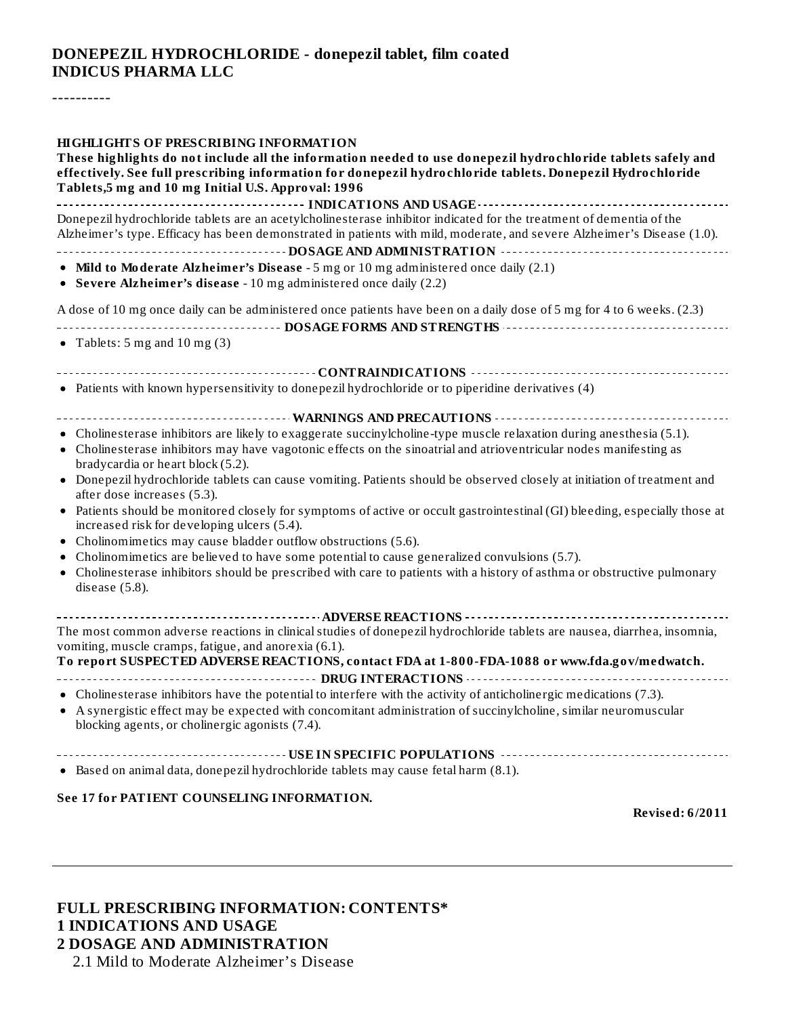#### **DONEPEZIL HYDROCHLORIDE - donepezil tablet, film coated INDICUS PHARMA LLC**

----------

| HIGHLIGHTS OF PRESCRIBING INFORMATION<br>These highlights do not include all the information needed to use donepezil hydrochloride tablets safely and<br>effectively. See full prescribing information for donepezil hydrochloride tablets. Donepezil Hydrochloride<br>Tablets,5 mg and 10 mg Initial U.S. Approval: 1996                                                                                                                                                                                                                                                                                                                                                                                                                                                                                                                                                                                                                   |
|---------------------------------------------------------------------------------------------------------------------------------------------------------------------------------------------------------------------------------------------------------------------------------------------------------------------------------------------------------------------------------------------------------------------------------------------------------------------------------------------------------------------------------------------------------------------------------------------------------------------------------------------------------------------------------------------------------------------------------------------------------------------------------------------------------------------------------------------------------------------------------------------------------------------------------------------|
| Donepezil hydrochloride tablets are an acetylcholinesterase inhibitor indicated for the treatment of dementia of the<br>Alzheimer's type. Efficacy has been demonstrated in patients with mild, moderate, and severe Alzheimer's Disease (1.0).                                                                                                                                                                                                                                                                                                                                                                                                                                                                                                                                                                                                                                                                                             |
| • Mild to Moderate Alzheimer's Disease - 5 mg or 10 mg administered once daily (2.1)<br>• Severe Alzheimer's disease - 10 mg administered once daily (2.2)                                                                                                                                                                                                                                                                                                                                                                                                                                                                                                                                                                                                                                                                                                                                                                                  |
| A dose of 10 mg once daily can be administered once patients have been on a daily dose of 5 mg for 4 to 6 weeks. (2.3)<br>• Tablets: $5 \text{ mg}$ and $10 \text{ mg}$ (3)                                                                                                                                                                                                                                                                                                                                                                                                                                                                                                                                                                                                                                                                                                                                                                 |
| • Patients with known hypersensitivity to donepezil hydrochloride or to piperidine derivatives (4)                                                                                                                                                                                                                                                                                                                                                                                                                                                                                                                                                                                                                                                                                                                                                                                                                                          |
| • Cholinesterase inhibitors are likely to exaggerate succinylcholine-type muscle relaxation during anesthesia (5.1).<br>• Cholinesterase inhibitors may have vagotonic effects on the sinoatrial and atrioventricular nodes manifesting as<br>bradycardia or heart block (5.2).<br>• Donepezil hydrochloride tablets can cause vomiting. Patients should be observed closely at initiation of treatment and<br>after dose increases (5.3).<br>• Patients should be monitored closely for symptoms of active or occult gastrointestinal (GI) bleeding, especially those at<br>increased risk for developing ulcers (5.4).<br>• Cholinomimetics may cause bladder outflow obstructions (5.6).<br>Cholinomimetics are believed to have some potential to cause generalized convulsions (5.7).<br>• Cholinesterase inhibitors should be prescribed with care to patients with a history of asthma or obstructive pulmonary<br>disease $(5.8)$ . |
| The most common adverse reactions in clinical studies of donepezil hydrochloride tablets are nausea, diarrhea, insomnia,<br>vomiting, muscle cramps, fatigue, and anorexia (6.1).<br>To report SUSPECTED ADVERSE REACTIONS, contact FDA at 1-800-FDA-1088 or www.fda.gov/medwatch.                                                                                                                                                                                                                                                                                                                                                                                                                                                                                                                                                                                                                                                          |
| • Cholinesterase inhibitors have the potential to interfere with the activity of anticholinergic medications (7.3).<br>• A synergistic effect may be expected with concomitant administration of succinylcholine, similar neuromuscular<br>blocking agents, or cholinergic agonists (7.4).                                                                                                                                                                                                                                                                                                                                                                                                                                                                                                                                                                                                                                                  |
| · Based on animal data, donepezil hydrochloride tablets may cause fetal harm (8.1).                                                                                                                                                                                                                                                                                                                                                                                                                                                                                                                                                                                                                                                                                                                                                                                                                                                         |

#### **See 17 for PATIENT COUNSELING INFORMATION.**

**Revised: 6/2011**

#### **FULL PRESCRIBING INFORMATION: CONTENTS\* 1 INDICATIONS AND USAGE 2 DOSAGE AND ADMINISTRATION**

2.1 Mild to Moderate Alzheimer's Disease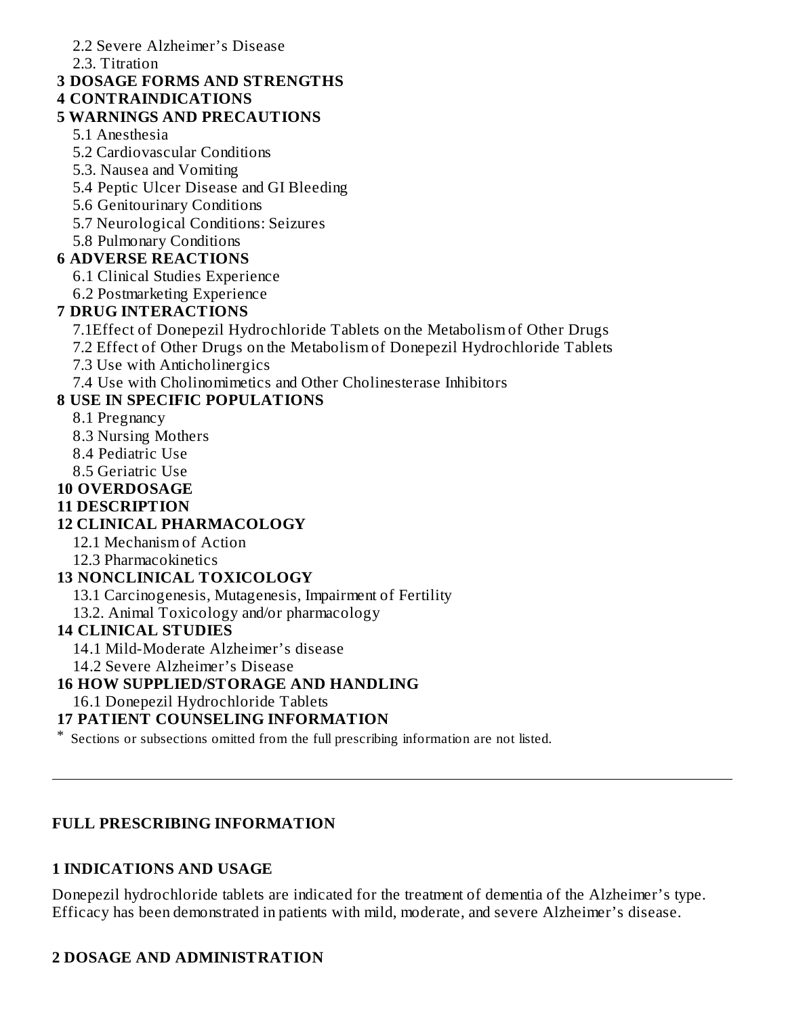2.2 Severe Alzheimer's Disease

2.3. Titration

#### **3 DOSAGE FORMS AND STRENGTHS**

#### **4 CONTRAINDICATIONS**

#### **5 WARNINGS AND PRECAUTIONS**

5.1 Anesthesia

- 5.2 Cardiovascular Conditions
- 5.3. Nausea and Vomiting
- 5.4 Peptic Ulcer Disease and GI Bleeding
- 5.6 Genitourinary Conditions
- 5.7 Neurological Conditions: Seizures
- 5.8 Pulmonary Conditions

### **6 ADVERSE REACTIONS**

6.1 Clinical Studies Experience

6.2 Postmarketing Experience

### **7 DRUG INTERACTIONS**

7.1Effect of Donepezil Hydrochloride Tablets on the Metabolism of Other Drugs 7.2 Effect of Other Drugs on the Metabolism of Donepezil Hydrochloride Tablets

- 7.3 Use with Anticholinergics
- 7.4 Use with Cholinomimetics and Other Cholinesterase Inhibitors

### **8 USE IN SPECIFIC POPULATIONS**

### 8.1 Pregnancy

- 8.3 Nursing Mothers
- 8.4 Pediatric Use
- 8.5 Geriatric Use

### **10 OVERDOSAGE**

### **11 DESCRIPTION**

### **12 CLINICAL PHARMACOLOGY**

- 12.1 Mechanism of Action
- 12.3 Pharmacokinetics

### **13 NONCLINICAL TOXICOLOGY**

13.1 Carcinogenesis, Mutagenesis, Impairment of Fertility

13.2. Animal Toxicology and/or pharmacology

### **14 CLINICAL STUDIES**

14.1 Mild-Moderate Alzheimer's disease

14.2 Severe Alzheimer's Disease

### **16 HOW SUPPLIED/STORAGE AND HANDLING**

16.1 Donepezil Hydrochloride Tablets

### **17 PATIENT COUNSELING INFORMATION**

\* Sections or subsections omitted from the full prescribing information are not listed.

### **FULL PRESCRIBING INFORMATION**

### **1 INDICATIONS AND USAGE**

Donepezil hydrochloride tablets are indicated for the treatment of dementia of the Alzheimer's type. Efficacy has been demonstrated in patients with mild, moderate, and severe Alzheimer's disease.

### **2 DOSAGE AND ADMINISTRATION**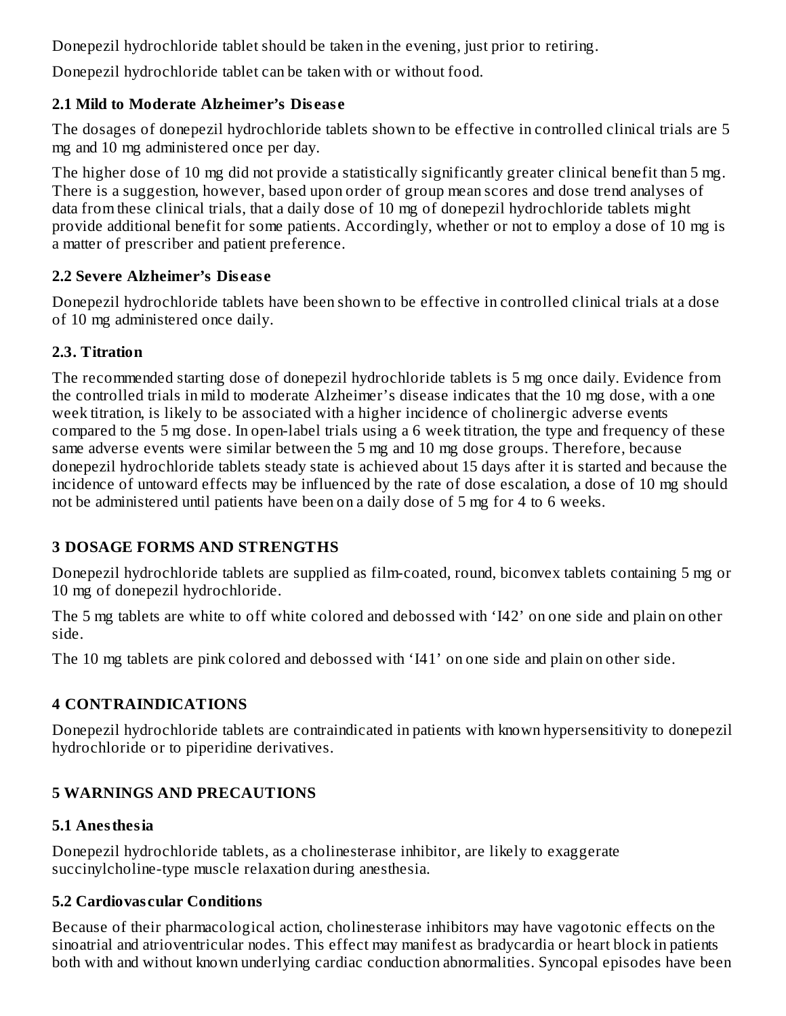Donepezil hydrochloride tablet should be taken in the evening, just prior to retiring.

Donepezil hydrochloride tablet can be taken with or without food.

#### **2.1 Mild to Moderate Alzheimer's Dis eas e**

The dosages of donepezil hydrochloride tablets shown to be effective in controlled clinical trials are 5 mg and 10 mg administered once per day.

The higher dose of 10 mg did not provide a statistically significantly greater clinical benefit than 5 mg. There is a suggestion, however, based upon order of group mean scores and dose trend analyses of data from these clinical trials, that a daily dose of 10 mg of donepezil hydrochloride tablets might provide additional benefit for some patients. Accordingly, whether or not to employ a dose of 10 mg is a matter of prescriber and patient preference.

#### **2.2 Severe Alzheimer's Dis eas e**

Donepezil hydrochloride tablets have been shown to be effective in controlled clinical trials at a dose of 10 mg administered once daily.

#### **2.3. Titration**

The recommended starting dose of donepezil hydrochloride tablets is 5 mg once daily. Evidence from the controlled trials in mild to moderate Alzheimer's disease indicates that the 10 mg dose, with a one week titration, is likely to be associated with a higher incidence of cholinergic adverse events compared to the 5 mg dose. In open-label trials using a 6 week titration, the type and frequency of these same adverse events were similar between the 5 mg and 10 mg dose groups. Therefore, because donepezil hydrochloride tablets steady state is achieved about 15 days after it is started and because the incidence of untoward effects may be influenced by the rate of dose escalation, a dose of 10 mg should not be administered until patients have been on a daily dose of 5 mg for 4 to 6 weeks.

### **3 DOSAGE FORMS AND STRENGTHS**

Donepezil hydrochloride tablets are supplied as film-coated, round, biconvex tablets containing 5 mg or 10 mg of donepezil hydrochloride.

The 5 mg tablets are white to off white colored and debossed with 'I42' on one side and plain on other side.

The 10 mg tablets are pink colored and debossed with 'I41' on one side and plain on other side.

### **4 CONTRAINDICATIONS**

Donepezil hydrochloride tablets are contraindicated in patients with known hypersensitivity to donepezil hydrochloride or to piperidine derivatives.

### **5 WARNINGS AND PRECAUTIONS**

### **5.1 Anesthesia**

Donepezil hydrochloride tablets, as a cholinesterase inhibitor, are likely to exaggerate succinylcholine-type muscle relaxation during anesthesia.

### **5.2 Cardiovas cular Conditions**

Because of their pharmacological action, cholinesterase inhibitors may have vagotonic effects on the sinoatrial and atrioventricular nodes. This effect may manifest as bradycardia or heart block in patients both with and without known underlying cardiac conduction abnormalities. Syncopal episodes have been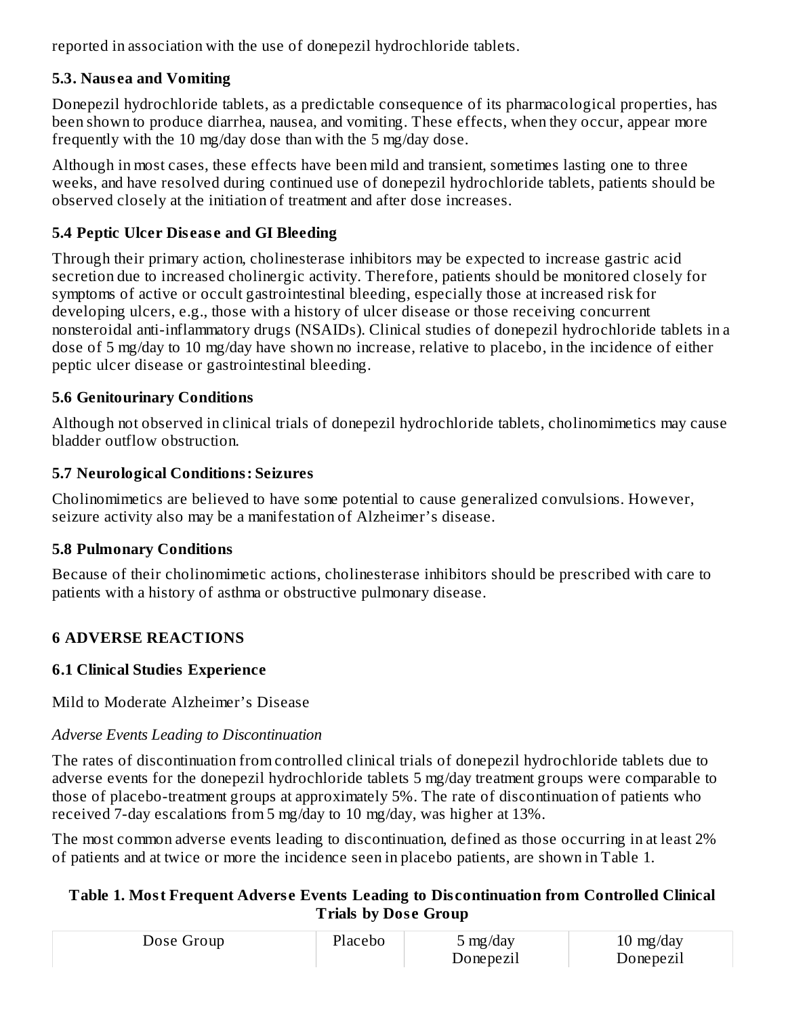reported in association with the use of donepezil hydrochloride tablets.

### **5.3. Naus ea and Vomiting**

Donepezil hydrochloride tablets, as a predictable consequence of its pharmacological properties, has been shown to produce diarrhea, nausea, and vomiting. These effects, when they occur, appear more frequently with the 10 mg/day dose than with the 5 mg/day dose.

Although in most cases, these effects have been mild and transient, sometimes lasting one to three weeks, and have resolved during continued use of donepezil hydrochloride tablets, patients should be observed closely at the initiation of treatment and after dose increases.

### **5.4 Peptic Ulcer Dis eas e and GI Bleeding**

Through their primary action, cholinesterase inhibitors may be expected to increase gastric acid secretion due to increased cholinergic activity. Therefore, patients should be monitored closely for symptoms of active or occult gastrointestinal bleeding, especially those at increased risk for developing ulcers, e.g., those with a history of ulcer disease or those receiving concurrent nonsteroidal anti-inflammatory drugs (NSAIDs). Clinical studies of donepezil hydrochloride tablets in a dose of 5 mg/day to 10 mg/day have shown no increase, relative to placebo, in the incidence of either peptic ulcer disease or gastrointestinal bleeding.

### **5.6 Genitourinary Conditions**

Although not observed in clinical trials of donepezil hydrochloride tablets, cholinomimetics may cause bladder outflow obstruction.

### **5.7 Neurological Conditions: Seizures**

Cholinomimetics are believed to have some potential to cause generalized convulsions. However, seizure activity also may be a manifestation of Alzheimer's disease.

### **5.8 Pulmonary Conditions**

Because of their cholinomimetic actions, cholinesterase inhibitors should be prescribed with care to patients with a history of asthma or obstructive pulmonary disease.

### **6 ADVERSE REACTIONS**

### **6.1 Clinical Studies Experience**

### Mild to Moderate Alzheimer's Disease

### *Adverse Events Leading to Discontinuation*

The rates of discontinuation from controlled clinical trials of donepezil hydrochloride tablets due to adverse events for the donepezil hydrochloride tablets 5 mg/day treatment groups were comparable to those of placebo-treatment groups at approximately 5%. The rate of discontinuation of patients who received 7-day escalations from 5 mg/day to 10 mg/day, was higher at 13%.

The most common adverse events leading to discontinuation, defined as those occurring in at least 2% of patients and at twice or more the incidence seen in placebo patients, are shown in Table 1.

### **Table 1. Most Frequent Advers e Events Leading to Dis continuation from Controlled Clinical Trials** by Dose Group

| Dose Group | Placebo | 5 mg/day  | $10 \; \text{mg/day}$ |
|------------|---------|-----------|-----------------------|
|            |         | Donepezil | Donepezil             |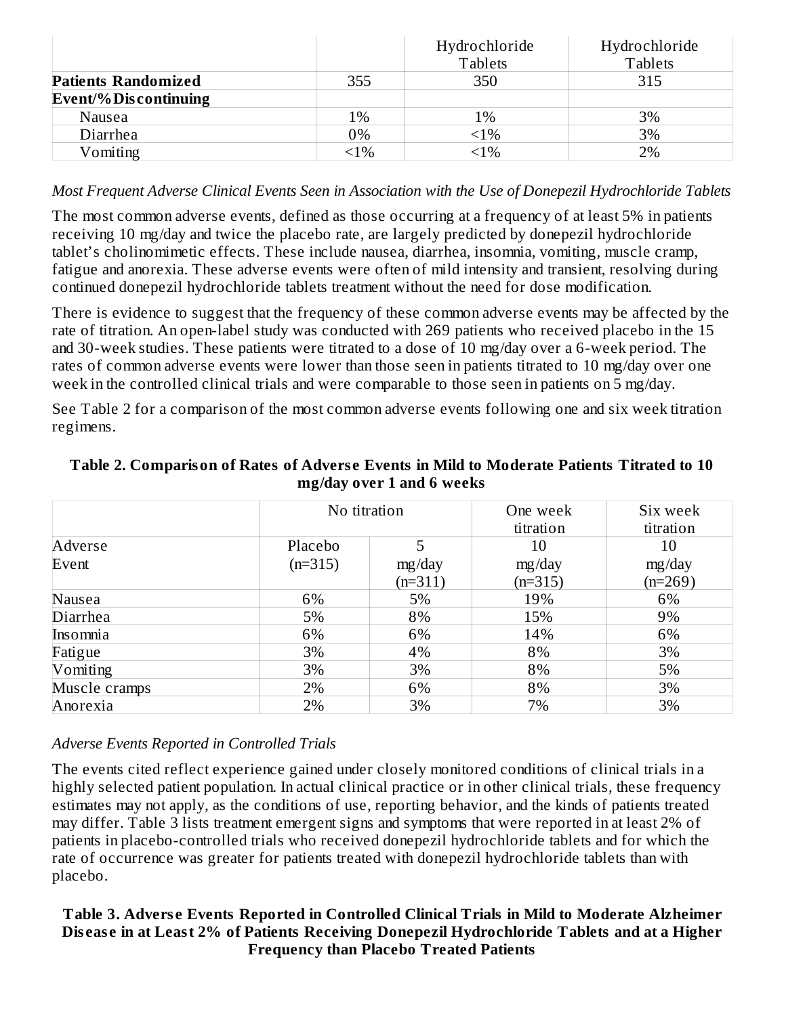|                            |         | Hydrochloride<br><b>Tablets</b> | Hydrochloride<br>Tablets |
|----------------------------|---------|---------------------------------|--------------------------|
| <b>Patients Randomized</b> | 355     | 350                             | 315                      |
| Event/% Discontinuing      |         |                                 |                          |
| Nausea                     | 1%      | 1%                              | 3%                       |
| Diarrhea                   | 0%      | $<1\%$                          | 3%                       |
| Vomiting                   | $< 1\%$ | $< 1\%$                         | 2%                       |

*Most Frequent Adverse Clinical Events Seen in Association with the Use of Donepezil Hydrochloride Tablets*

The most common adverse events, defined as those occurring at a frequency of at least 5% in patients receiving 10 mg/day and twice the placebo rate, are largely predicted by donepezil hydrochloride tablet's cholinomimetic effects. These include nausea, diarrhea, insomnia, vomiting, muscle cramp, fatigue and anorexia. These adverse events were often of mild intensity and transient, resolving during continued donepezil hydrochloride tablets treatment without the need for dose modification.

There is evidence to suggest that the frequency of these common adverse events may be affected by the rate of titration. An open-label study was conducted with 269 patients who received placebo in the 15 and 30-week studies. These patients were titrated to a dose of 10 mg/day over a 6-week period. The rates of common adverse events were lower than those seen in patients titrated to 10 mg/day over one week in the controlled clinical trials and were comparable to those seen in patients on 5 mg/day.

See Table 2 for a comparison of the most common adverse events following one and six week titration regimens.

|               | No titration |           | One week  | Six week  |
|---------------|--------------|-----------|-----------|-----------|
|               |              |           | titration | titration |
| Adverse       | Placebo      | 5         | 10        | 10        |
| Event         | $(n=315)$    | mg/day    | mg/day    | mg/day    |
|               |              | $(n=311)$ | $(n=315)$ | $(n=269)$ |
| Nausea        | 6%           | 5%        | 19%       | 6%        |
| Diarrhea      | 5%           | 8%        | 15%       | 9%        |
| Insomnia      | 6%           | 6%        | 14%       | 6%        |
| Fatigue       | 3%           | 4%        | 8%        | 3%        |
| Vomiting      | 3%           | 3%        | 8%        | 5%        |
| Muscle cramps | 2%           | 6%        | 8%        | 3%        |
| Anorexia      | 2%           | 3%        | 7%        | 3%        |

#### **Table 2. Comparison of Rates of Advers e Events in Mild to Moderate Patients Titrated to 10 mg/day over 1 and 6 weeks**

### *Adverse Events Reported in Controlled Trials*

The events cited reflect experience gained under closely monitored conditions of clinical trials in a highly selected patient population. In actual clinical practice or in other clinical trials, these frequency estimates may not apply, as the conditions of use, reporting behavior, and the kinds of patients treated may differ. Table 3 lists treatment emergent signs and symptoms that were reported in at least 2% of patients in placebo-controlled trials who received donepezil hydrochloride tablets and for which the rate of occurrence was greater for patients treated with donepezil hydrochloride tablets than with placebo.

#### **Table 3. Advers e Events Reported in Controlled Clinical Trials in Mild to Moderate Alzheimer Dis eas e in at Least 2% of Patients Receiving Donepezil Hydrochloride Tablets and at a Higher Frequency than Placebo Treated Patients**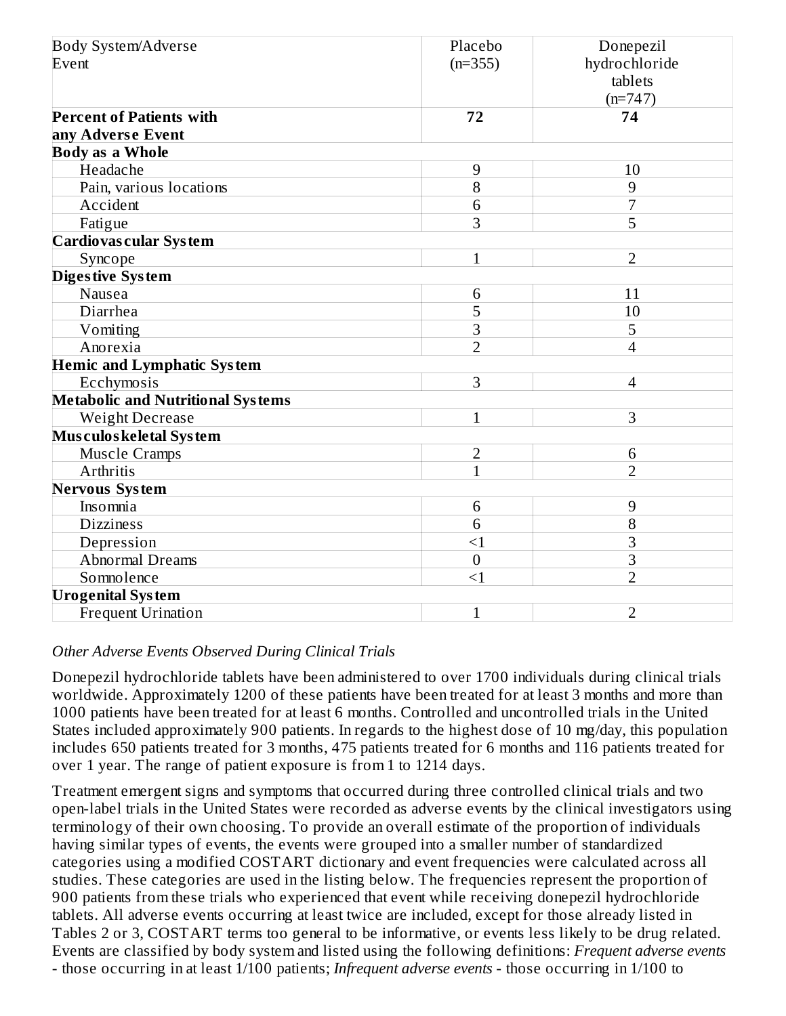| Body System/Adverse                      | Placebo          | Donepezil      |
|------------------------------------------|------------------|----------------|
| Event                                    | $(n=355)$        | hydrochloride  |
|                                          |                  | tablets        |
|                                          |                  | $(n=747)$      |
| <b>Percent of Patients with</b>          | 72               | 74             |
| any Adverse Event                        |                  |                |
| <b>Body as a Whole</b>                   |                  |                |
| Headache                                 | 9                | 10             |
| Pain, various locations                  | 8                | 9              |
| Accident                                 | 6                | 7              |
| Fatigue                                  | 3                | 5              |
| <b>Cardiovas cular System</b>            |                  |                |
| Syncope                                  | 1                | $\overline{2}$ |
| Diges tive System                        |                  |                |
| Nausea                                   | 6                | 11             |
| Diarrhea                                 | 5                | 10             |
| Vomiting                                 | 3                | 5              |
| Anorexia                                 | $\overline{2}$   | $\overline{4}$ |
| <b>Hemic and Lymphatic System</b>        |                  |                |
| Ecchymosis                               | 3                | $\overline{4}$ |
| <b>Metabolic and Nutritional Systems</b> |                  |                |
| <b>Weight Decrease</b>                   | $\overline{1}$   | 3              |
| Musculos keletal System                  |                  |                |
| Muscle Cramps                            | $\overline{2}$   | 6              |
| Arthritis                                | $\mathbf{1}$     | $\overline{2}$ |
| <b>Nervous System</b>                    |                  |                |
| Insomnia                                 | 6                | 9              |
| <b>Dizziness</b>                         | 6                | 8              |
| Depression                               | $\leq$ 1         | 3              |
| <b>Abnormal Dreams</b>                   | $\boldsymbol{0}$ | 3              |
| Somnolence                               | $\leq$ 1         | $\overline{2}$ |
| <b>Urogenital System</b>                 |                  |                |
| <b>Frequent Urination</b>                | $\mathbf{1}$     | $\overline{2}$ |

#### *Other Adverse Events Observed During Clinical Trials*

Donepezil hydrochloride tablets have been administered to over 1700 individuals during clinical trials worldwide. Approximately 1200 of these patients have been treated for at least 3 months and more than 1000 patients have been treated for at least 6 months. Controlled and uncontrolled trials in the United States included approximately 900 patients. In regards to the highest dose of 10 mg/day, this population includes 650 patients treated for 3 months, 475 patients treated for 6 months and 116 patients treated for over 1 year. The range of patient exposure is from 1 to 1214 days.

Treatment emergent signs and symptoms that occurred during three controlled clinical trials and two open-label trials in the United States were recorded as adverse events by the clinical investigators using terminology of their own choosing. To provide an overall estimate of the proportion of individuals having similar types of events, the events were grouped into a smaller number of standardized categories using a modified COSTART dictionary and event frequencies were calculated across all studies. These categories are used in the listing below. The frequencies represent the proportion of 900 patients from these trials who experienced that event while receiving donepezil hydrochloride tablets. All adverse events occurring at least twice are included, except for those already listed in Tables 2 or 3, COSTART terms too general to be informative, or events less likely to be drug related. Events are classified by body system and listed using the following definitions: *Frequent adverse events* - those occurring in at least 1/100 patients; *Infrequent adverse events* - those occurring in 1/100 to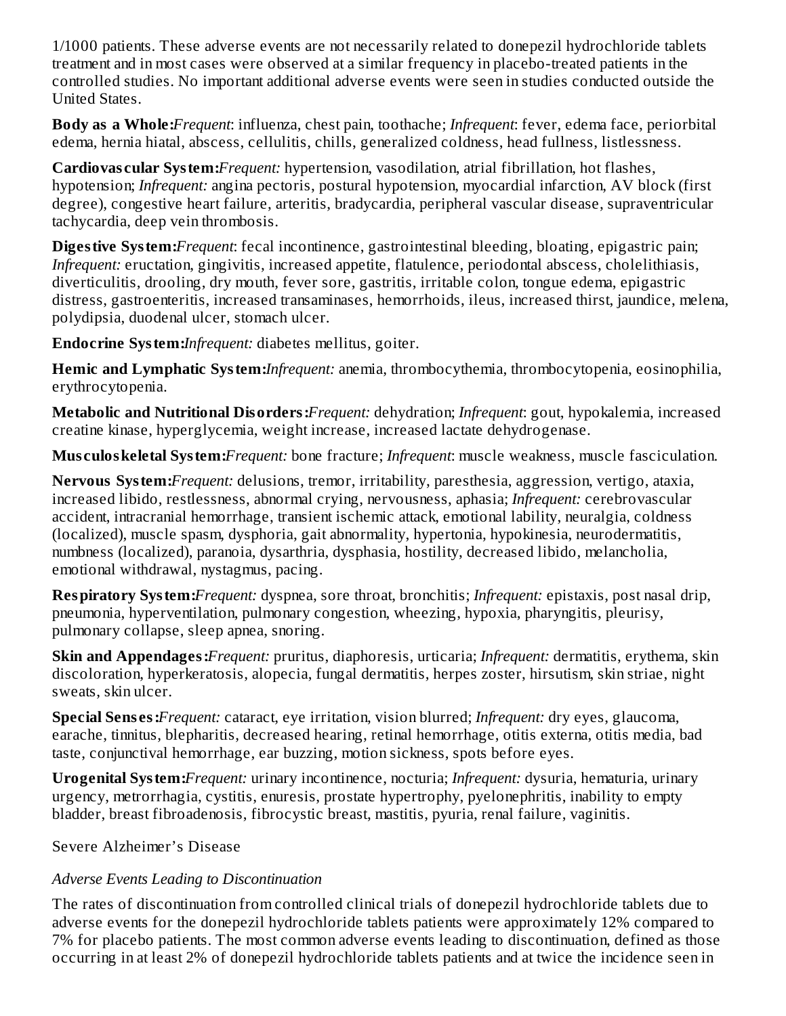1/1000 patients. These adverse events are not necessarily related to donepezil hydrochloride tablets treatment and in most cases were observed at a similar frequency in placebo-treated patients in the controlled studies. No important additional adverse events were seen in studies conducted outside the United States.

**Body as a Whole:***Frequent*: influenza, chest pain, toothache; *Infrequent*: fever, edema face, periorbital edema, hernia hiatal, abscess, cellulitis, chills, generalized coldness, head fullness, listlessness.

**Cardiovas cular System:***Frequent:* hypertension, vasodilation, atrial fibrillation, hot flashes, hypotension; *Infrequent:* angina pectoris, postural hypotension, myocardial infarction, AV block (first degree), congestive heart failure, arteritis, bradycardia, peripheral vascular disease, supraventricular tachycardia, deep vein thrombosis.

**Digestive System:***Frequent*: fecal incontinence, gastrointestinal bleeding, bloating, epigastric pain; *Infrequent:* eructation, gingivitis, increased appetite, flatulence, periodontal abscess, cholelithiasis, diverticulitis, drooling, dry mouth, fever sore, gastritis, irritable colon, tongue edema, epigastric distress, gastroenteritis, increased transaminases, hemorrhoids, ileus, increased thirst, jaundice, melena, polydipsia, duodenal ulcer, stomach ulcer.

**Endocrine System:***Infrequent:* diabetes mellitus, goiter.

**Hemic and Lymphatic System:***Infrequent:* anemia, thrombocythemia, thrombocytopenia, eosinophilia, erythrocytopenia.

**Metabolic and Nutritional Disorders:***Frequent:* dehydration; *Infrequent*: gout, hypokalemia, increased creatine kinase, hyperglycemia, weight increase, increased lactate dehydrogenase.

**Mus culoskeletal System:***Frequent:* bone fracture; *Infrequent*: muscle weakness, muscle fasciculation.

**Nervous System:***Frequent:* delusions, tremor, irritability, paresthesia, aggression, vertigo, ataxia, increased libido, restlessness, abnormal crying, nervousness, aphasia; *Infrequent:* cerebrovascular accident, intracranial hemorrhage, transient ischemic attack, emotional lability, neuralgia, coldness (localized), muscle spasm, dysphoria, gait abnormality, hypertonia, hypokinesia, neurodermatitis, numbness (localized), paranoia, dysarthria, dysphasia, hostility, decreased libido, melancholia, emotional withdrawal, nystagmus, pacing.

**Respiratory System:***Frequent:* dyspnea, sore throat, bronchitis; *Infrequent:* epistaxis, post nasal drip, pneumonia, hyperventilation, pulmonary congestion, wheezing, hypoxia, pharyngitis, pleurisy, pulmonary collapse, sleep apnea, snoring.

**Skin and Appendages:***Frequent:* pruritus, diaphoresis, urticaria; *Infrequent:* dermatitis, erythema, skin discoloration, hyperkeratosis, alopecia, fungal dermatitis, herpes zoster, hirsutism, skin striae, night sweats, skin ulcer.

**Special Sens es:***Frequent:* cataract, eye irritation, vision blurred; *Infrequent:* dry eyes, glaucoma, earache, tinnitus, blepharitis, decreased hearing, retinal hemorrhage, otitis externa, otitis media, bad taste, conjunctival hemorrhage, ear buzzing, motion sickness, spots before eyes.

**Urogenital System:***Frequent:* urinary incontinence, nocturia; *Infrequent:* dysuria, hematuria, urinary urgency, metrorrhagia, cystitis, enuresis, prostate hypertrophy, pyelonephritis, inability to empty bladder, breast fibroadenosis, fibrocystic breast, mastitis, pyuria, renal failure, vaginitis.

Severe Alzheimer's Disease

### *Adverse Events Leading to Discontinuation*

The rates of discontinuation from controlled clinical trials of donepezil hydrochloride tablets due to adverse events for the donepezil hydrochloride tablets patients were approximately 12% compared to 7% for placebo patients. The most common adverse events leading to discontinuation, defined as those occurring in at least 2% of donepezil hydrochloride tablets patients and at twice the incidence seen in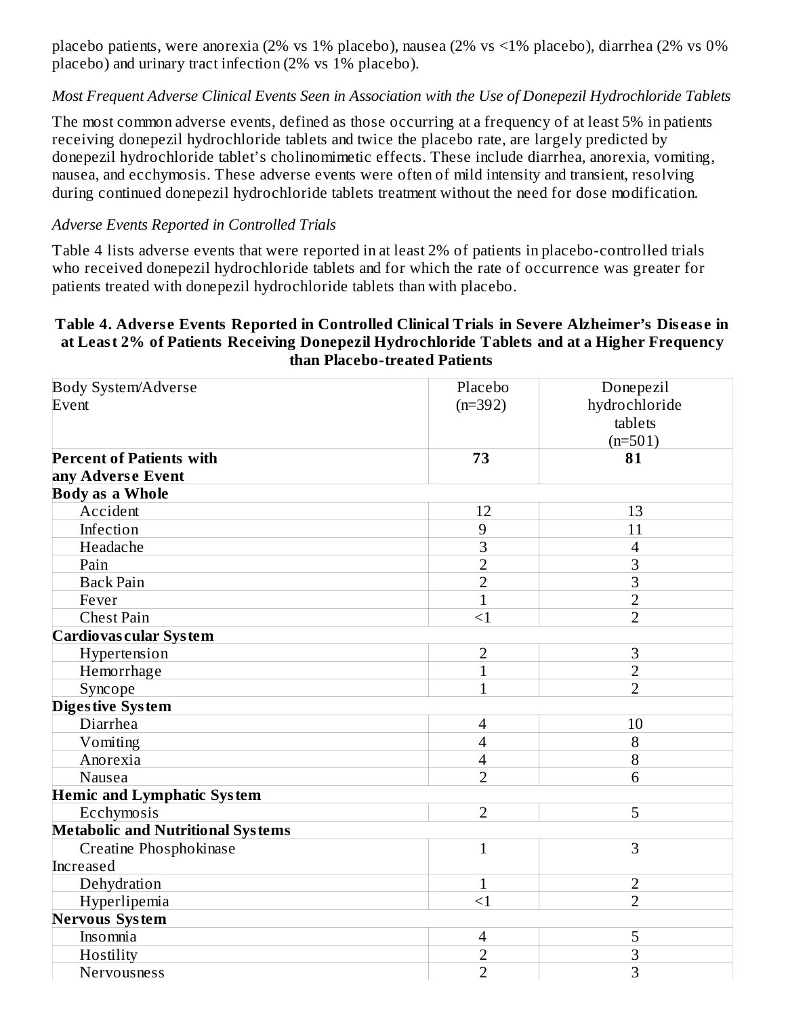placebo patients, were anorexia (2% vs 1% placebo), nausea (2% vs <1% placebo), diarrhea (2% vs 0% placebo) and urinary tract infection (2% vs 1% placebo).

#### *Most Frequent Adverse Clinical Events Seen in Association with the Use of Donepezil Hydrochloride Tablets*

The most common adverse events, defined as those occurring at a frequency of at least 5% in patients receiving donepezil hydrochloride tablets and twice the placebo rate, are largely predicted by donepezil hydrochloride tablet's cholinomimetic effects. These include diarrhea, anorexia, vomiting, nausea, and ecchymosis. These adverse events were often of mild intensity and transient, resolving during continued donepezil hydrochloride tablets treatment without the need for dose modification.

#### *Adverse Events Reported in Controlled Trials*

Table 4 lists adverse events that were reported in at least 2% of patients in placebo-controlled trials who received donepezil hydrochloride tablets and for which the rate of occurrence was greater for patients treated with donepezil hydrochloride tablets than with placebo.

#### **Table 4. Advers e Events Reported in Controlled Clinical Trials in Severe Alzheimer's Dis eas e in at Least 2% of Patients Receiving Donepezil Hydrochloride Tablets and at a Higher Frequency than Placebo-treated Patients**

| Body System/Adverse                      | Placebo        | Donepezil      |
|------------------------------------------|----------------|----------------|
| Event                                    | $(n=392)$      | hydrochloride  |
|                                          |                | tablets        |
|                                          |                | $(n=501)$      |
| <b>Percent of Patients with</b>          | 73             | 81             |
| any Adverse Event                        |                |                |
| <b>Body as a Whole</b>                   |                |                |
| Accident                                 | 12             | 13             |
| Infection                                | 9              | 11             |
| Headache                                 | 3              | 4              |
| Pain                                     | $\overline{2}$ | 3              |
| <b>Back Pain</b>                         | $\overline{2}$ | 3              |
| Fever                                    | 1              | $\overline{2}$ |
| <b>Chest Pain</b>                        | $\leq$ 1       | $\overline{2}$ |
| <b>Cardiovas cular System</b>            |                |                |
| Hypertension                             | $\overline{2}$ | 3              |
| Hemorrhage                               | $\mathbf{1}$   | $\overline{2}$ |
| Syncope                                  | 1              | $\overline{2}$ |
| Digestive System                         |                |                |
| Diarrhea                                 | $\overline{4}$ | 10             |
| Vomiting                                 | $\overline{4}$ | 8              |
| Anorexia                                 | $\overline{4}$ | 8              |
| Nausea                                   | $\overline{2}$ | 6              |
| <b>Hemic and Lymphatic System</b>        |                |                |
| Ecchymosis                               | $\overline{2}$ | 5              |
| <b>Metabolic and Nutritional Systems</b> |                |                |
| Creatine Phosphokinase                   | $\mathbf{1}$   | 3              |
| Increased                                |                |                |
| Dehydration                              | $\mathbf{1}$   | $\overline{2}$ |
| Hyperlipemia                             | $\leq$ 1       | $\overline{2}$ |
| <b>Nervous System</b>                    |                |                |
| Insomnia                                 | $\overline{4}$ | 5              |
| Hostility                                | $\overline{2}$ | 3              |
| Nervousness                              | $\overline{2}$ | 3              |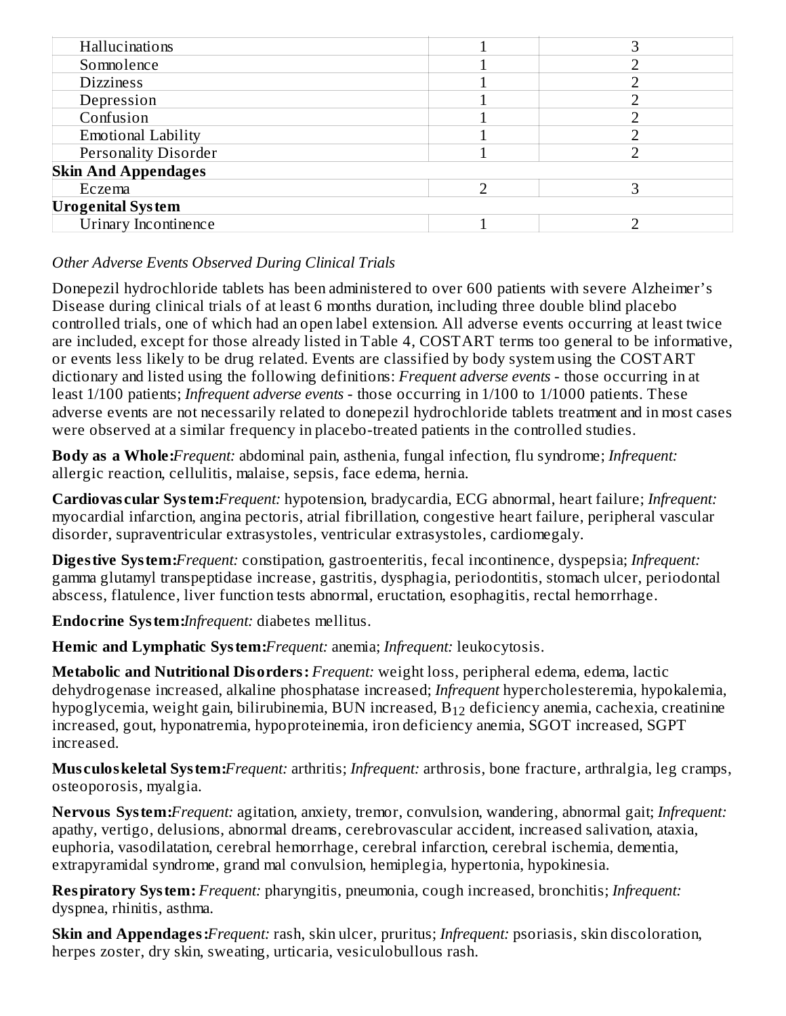| Hallucinations              | ∍ |
|-----------------------------|---|
| Somnolence                  |   |
| <b>Dizziness</b>            |   |
| Depression                  |   |
| Confusion                   |   |
| <b>Emotional Lability</b>   |   |
| <b>Personality Disorder</b> |   |
| <b>Skin And Appendages</b>  |   |
| Eczema                      |   |
| <b>Urogenital System</b>    |   |
| Urinary Incontinence        |   |

#### *Other Adverse Events Observed During Clinical Trials*

Donepezil hydrochloride tablets has been administered to over 600 patients with severe Alzheimer's Disease during clinical trials of at least 6 months duration, including three double blind placebo controlled trials, one of which had an open label extension. All adverse events occurring at least twice are included, except for those already listed in Table 4, COSTART terms too general to be informative, or events less likely to be drug related. Events are classified by body system using the COSTART dictionary and listed using the following definitions: *Frequent adverse events* - those occurring in at least 1/100 patients; *Infrequent adverse events* - those occurring in 1/100 to 1/1000 patients. These adverse events are not necessarily related to donepezil hydrochloride tablets treatment and in most cases were observed at a similar frequency in placebo-treated patients in the controlled studies.

**Body as a Whole:***Frequent:* abdominal pain, asthenia, fungal infection, flu syndrome; *Infrequent:* allergic reaction, cellulitis, malaise, sepsis, face edema, hernia.

**Cardiovas cular System:***Frequent:* hypotension, bradycardia, ECG abnormal, heart failure; *Infrequent:* myocardial infarction, angina pectoris, atrial fibrillation, congestive heart failure, peripheral vascular disorder, supraventricular extrasystoles, ventricular extrasystoles, cardiomegaly.

**Digestive System:***Frequent:* constipation, gastroenteritis, fecal incontinence, dyspepsia; *Infrequent:* gamma glutamyl transpeptidase increase, gastritis, dysphagia, periodontitis, stomach ulcer, periodontal abscess, flatulence, liver function tests abnormal, eructation, esophagitis, rectal hemorrhage.

**Endocrine System:***Infrequent:* diabetes mellitus.

**Hemic and Lymphatic System:***Frequent:* anemia; *Infrequent:* leukocytosis.

**Metabolic and Nutritional Disorders:** *Frequent:* weight loss, peripheral edema, edema, lactic dehydrogenase increased, alkaline phosphatase increased; *Infrequent* hypercholesteremia, hypokalemia, hypoglycemia, weight gain, bilirubinemia, BUN increased,  $\rm B_{12}$  deficiency anemia, cachexia, creatinine increased, gout, hyponatremia, hypoproteinemia, iron deficiency anemia, SGOT increased, SGPT increased.

**Mus culoskeletal System:***Frequent:* arthritis; *Infrequent:* arthrosis, bone fracture, arthralgia, leg cramps, osteoporosis, myalgia.

**Nervous System:***Frequent:* agitation, anxiety, tremor, convulsion, wandering, abnormal gait; *Infrequent:* apathy, vertigo, delusions, abnormal dreams, cerebrovascular accident, increased salivation, ataxia, euphoria, vasodilatation, cerebral hemorrhage, cerebral infarction, cerebral ischemia, dementia, extrapyramidal syndrome, grand mal convulsion, hemiplegia, hypertonia, hypokinesia.

**Respiratory System:** *Frequent:* pharyngitis, pneumonia, cough increased, bronchitis; *Infrequent:* dyspnea, rhinitis, asthma.

**Skin and Appendages:***Frequent:* rash, skin ulcer, pruritus; *Infrequent:* psoriasis, skin discoloration, herpes zoster, dry skin, sweating, urticaria, vesiculobullous rash.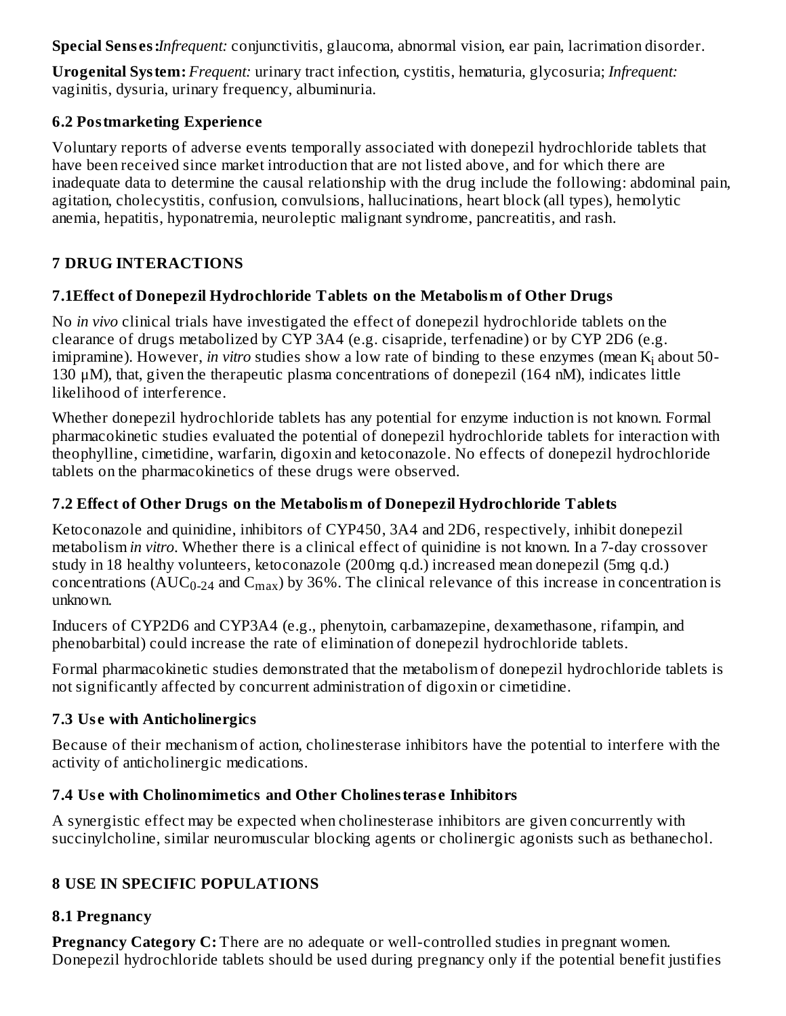**Special Sens es:***Infrequent:* conjunctivitis, glaucoma, abnormal vision, ear pain, lacrimation disorder.

**Urogenital System:** *Frequent:* urinary tract infection, cystitis, hematuria, glycosuria; *Infrequent:* vaginitis, dysuria, urinary frequency, albuminuria.

#### **6.2 Postmarketing Experience**

Voluntary reports of adverse events temporally associated with donepezil hydrochloride tablets that have been received since market introduction that are not listed above, and for which there are inadequate data to determine the causal relationship with the drug include the following: abdominal pain, agitation, cholecystitis, confusion, convulsions, hallucinations, heart block (all types), hemolytic anemia, hepatitis, hyponatremia, neuroleptic malignant syndrome, pancreatitis, and rash.

### **7 DRUG INTERACTIONS**

### **7.1Effect of Donepezil Hydrochloride Tablets on the Metabolism of Other Drugs**

No *in vivo* clinical trials have investigated the effect of donepezil hydrochloride tablets on the clearance of drugs metabolized by CYP 3A4 (e.g. cisapride, terfenadine) or by CYP 2D6 (e.g. imipramine). However, *in vitro* studies show a low rate of binding to these enzymes (mean K<sub>i</sub> about 50-130 μM), that, given the therapeutic plasma concentrations of donepezil (164 nM), indicates little likelihood of interference.

Whether donepezil hydrochloride tablets has any potential for enzyme induction is not known. Formal pharmacokinetic studies evaluated the potential of donepezil hydrochloride tablets for interaction with theophylline, cimetidine, warfarin, digoxin and ketoconazole. No effects of donepezil hydrochloride tablets on the pharmacokinetics of these drugs were observed.

### **7.2 Effect of Other Drugs on the Metabolism of Donepezil Hydrochloride Tablets**

Ketoconazole and quinidine, inhibitors of CYP450, 3A4 and 2D6, respectively, inhibit donepezil metabolism *in vitro*. Whether there is a clinical effect of quinidine is not known. In a 7-day crossover study in 18 healthy volunteers, ketoconazole (200mg q.d.) increased mean donepezil (5mg q.d.) concentrations (AUC<sub>0-24</sub> and C<sub>max</sub>) by 36%. The clinical relevance of this increase in concentration is unknown.

Inducers of CYP2D6 and CYP3A4 (e.g., phenytoin, carbamazepine, dexamethasone, rifampin, and phenobarbital) could increase the rate of elimination of donepezil hydrochloride tablets.

Formal pharmacokinetic studies demonstrated that the metabolism of donepezil hydrochloride tablets is not significantly affected by concurrent administration of digoxin or cimetidine.

### **7.3 Us e with Anticholinergics**

Because of their mechanism of action, cholinesterase inhibitors have the potential to interfere with the activity of anticholinergic medications.

### **7.4 Us e with Cholinomimetics and Other Cholinesteras e Inhibitors**

A synergistic effect may be expected when cholinesterase inhibitors are given concurrently with succinylcholine, similar neuromuscular blocking agents or cholinergic agonists such as bethanechol.

### **8 USE IN SPECIFIC POPULATIONS**

### **8.1 Pregnancy**

**Pregnancy Category C:** There are no adequate or well-controlled studies in pregnant women. Donepezil hydrochloride tablets should be used during pregnancy only if the potential benefit justifies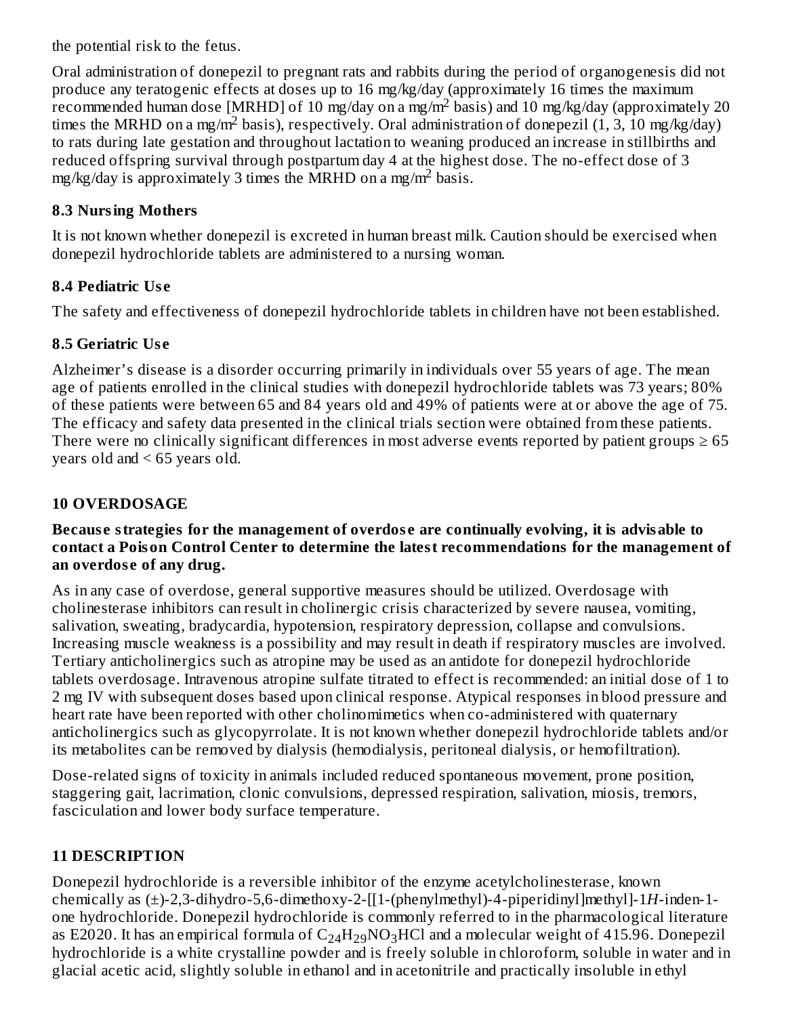the potential risk to the fetus.

Oral administration of donepezil to pregnant rats and rabbits during the period of organogenesis did not produce any teratogenic effects at doses up to 16 mg/kg/day (approximately 16 times the maximum recommended human dose [MRHD] of 10 mg/day on a mg/m<sup>2</sup> basis) and 10 mg/kg/day (approximately 20 times the MRHD on a mg/m<sup>2</sup> basis), respectively. Oral administration of donepezil (1, 3, 10 mg/kg/day) to rats during late gestation and throughout lactation to weaning produced an increase in stillbirths and reduced offspring survival through postpartum day 4 at the highest dose. The no-effect dose of 3 mg/kg/day is approximately 3 times the MRHD on a mg/m<sup>2</sup> basis.

### **8.3 Nursing Mothers**

It is not known whether donepezil is excreted in human breast milk. Caution should be exercised when donepezil hydrochloride tablets are administered to a nursing woman.

### **8.4 Pediatric Us e**

The safety and effectiveness of donepezil hydrochloride tablets in children have not been established.

### **8.5 Geriatric Us e**

Alzheimer's disease is a disorder occurring primarily in individuals over 55 years of age. The mean age of patients enrolled in the clinical studies with donepezil hydrochloride tablets was 73 years; 80% of these patients were between 65 and 84 years old and 49% of patients were at or above the age of 75. The efficacy and safety data presented in the clinical trials section were obtained from these patients. There were no clinically significant differences in most adverse events reported by patient groups  $\geq 65$ years old and < 65 years old.

### **10 OVERDOSAGE**

#### **Becaus e strategies for the management of overdos e are continually evolving, it is advisable to contact a Poison Control Center to determine the latest recommendations for the management of an overdos e of any drug.**

As in any case of overdose, general supportive measures should be utilized. Overdosage with cholinesterase inhibitors can result in cholinergic crisis characterized by severe nausea, vomiting, salivation, sweating, bradycardia, hypotension, respiratory depression, collapse and convulsions. Increasing muscle weakness is a possibility and may result in death if respiratory muscles are involved. Tertiary anticholinergics such as atropine may be used as an antidote for donepezil hydrochloride tablets overdosage. Intravenous atropine sulfate titrated to effect is recommended: an initial dose of 1 to 2 mg IV with subsequent doses based upon clinical response. Atypical responses in blood pressure and heart rate have been reported with other cholinomimetics when co-administered with quaternary anticholinergics such as glycopyrrolate. It is not known whether donepezil hydrochloride tablets and/or its metabolites can be removed by dialysis (hemodialysis, peritoneal dialysis, or hemofiltration).

Dose-related signs of toxicity in animals included reduced spontaneous movement, prone position, staggering gait, lacrimation, clonic convulsions, depressed respiration, salivation, miosis, tremors, fasciculation and lower body surface temperature.

### **11 DESCRIPTION**

Donepezil hydrochloride is a reversible inhibitor of the enzyme acetylcholinesterase, known chemically as (±)-2,3-dihydro-5,6-dimethoxy-2-[[1-(phenylmethyl)-4-piperidinyl]methyl]-1*H*-inden-1 one hydrochloride. Donepezil hydrochloride is commonly referred to in the pharmacological literature as E2020. It has an empirical formula of  $\rm{C_{24}H_{29}NO_{3}HCl}$  and a molecular weight of 415.96. Donepezil hydrochloride is a white crystalline powder and is freely soluble in chloroform, soluble in water and in glacial acetic acid, slightly soluble in ethanol and in acetonitrile and practically insoluble in ethyl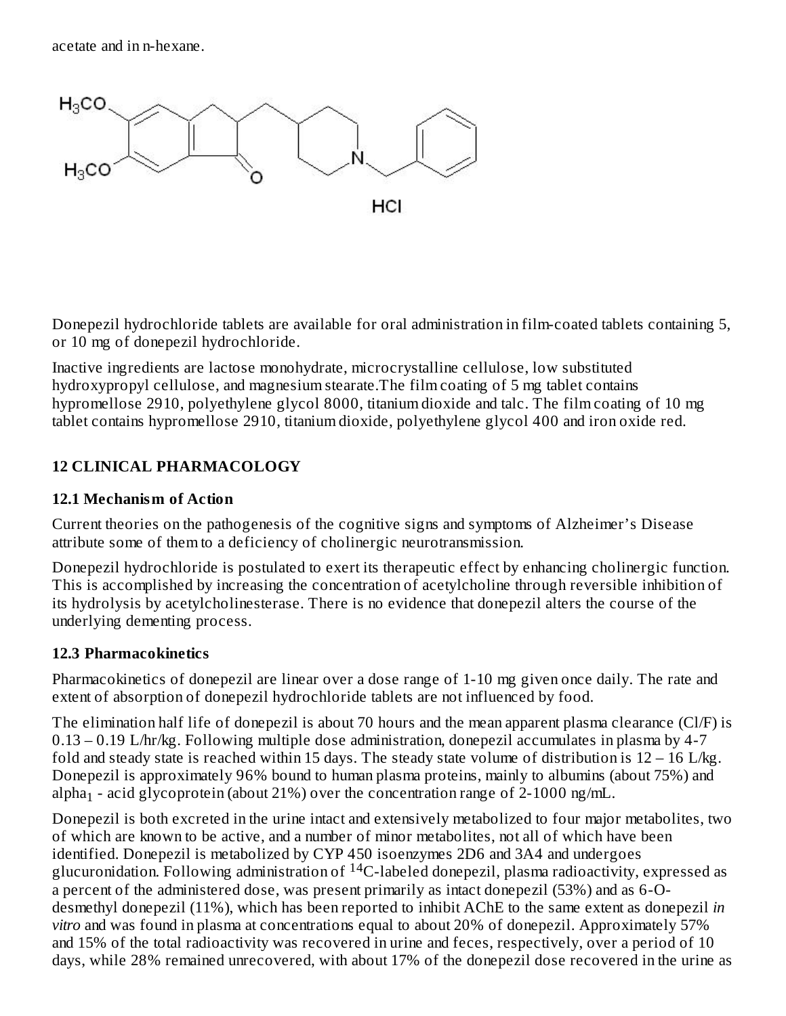acetate and in n-hexane.



Donepezil hydrochloride tablets are available for oral administration in film-coated tablets containing 5, or 10 mg of donepezil hydrochloride.

Inactive ingredients are lactose monohydrate, microcrystalline cellulose, low substituted hydroxypropyl cellulose, and magnesium stearate.The film coating of 5 mg tablet contains hypromellose 2910, polyethylene glycol 8000, titanium dioxide and talc. The film coating of 10 mg tablet contains hypromellose 2910, titanium dioxide, polyethylene glycol 400 and iron oxide red.

#### **12 CLINICAL PHARMACOLOGY**

#### **12.1 Mechanism of Action**

Current theories on the pathogenesis of the cognitive signs and symptoms of Alzheimer's Disease attribute some of them to a deficiency of cholinergic neurotransmission.

Donepezil hydrochloride is postulated to exert its therapeutic effect by enhancing cholinergic function. This is accomplished by increasing the concentration of acetylcholine through reversible inhibition of its hydrolysis by acetylcholinesterase. There is no evidence that donepezil alters the course of the underlying dementing process.

#### **12.3 Pharmacokinetics**

Pharmacokinetics of donepezil are linear over a dose range of 1-10 mg given once daily. The rate and extent of absorption of donepezil hydrochloride tablets are not influenced by food.

The elimination half life of donepezil is about 70 hours and the mean apparent plasma clearance (Cl/F) is 0.13 – 0.19 L/hr/kg. Following multiple dose administration, donepezil accumulates in plasma by 4-7 fold and steady state is reached within 15 days. The steady state volume of distribution is  $12 - 16$  L/kg. Donepezil is approximately 96% bound to human plasma proteins, mainly to albumins (about 75%) and alpha $_1$  - acid glycoprotein (about 21%) over the concentration range of 2-1000 ng/mL.

Donepezil is both excreted in the urine intact and extensively metabolized to four major metabolites, two of which are known to be active, and a number of minor metabolites, not all of which have been identified. Donepezil is metabolized by CYP 450 isoenzymes 2D6 and 3A4 and undergoes glucuronidation. Following administration of  $^{14}$ C-labeled donepezil, plasma radioactivity, expressed as a percent of the administered dose, was present primarily as intact donepezil (53%) and as 6-Odesmethyl donepezil (11%), which has been reported to inhibit AChE to the same extent as donepezil *in vitro* and was found in plasma at concentrations equal to about 20% of donepezil. Approximately 57% and 15% of the total radioactivity was recovered in urine and feces, respectively, over a period of 10 days, while 28% remained unrecovered, with about 17% of the donepezil dose recovered in the urine as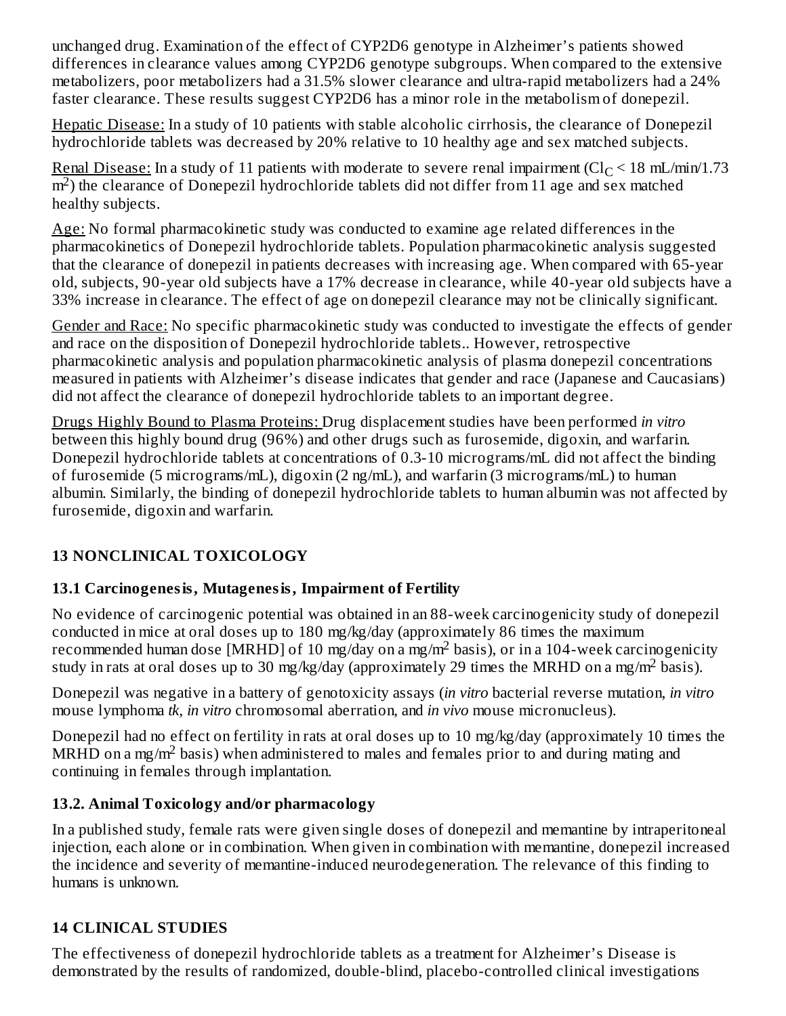unchanged drug. Examination of the effect of CYP2D6 genotype in Alzheimer's patients showed differences in clearance values among CYP2D6 genotype subgroups. When compared to the extensive metabolizers, poor metabolizers had a 31.5% slower clearance and ultra-rapid metabolizers had a 24% faster clearance. These results suggest CYP2D6 has a minor role in the metabolism of donepezil.

Hepatic Disease: In a study of 10 patients with stable alcoholic cirrhosis, the clearance of Donepezil hydrochloride tablets was decreased by 20% relative to 10 healthy age and sex matched subjects.

<u>Renal Disease:</u> In a study of 11 patients with moderate to severe renal impairment (Cl $_{\rm C}$  < 18 mL/min/1.73  $m<sup>2</sup>$ ) the clearance of Donepezil hydrochloride tablets did not differ from 11 age and sex matched healthy subjects.

Age: No formal pharmacokinetic study was conducted to examine age related differences in the pharmacokinetics of Donepezil hydrochloride tablets. Population pharmacokinetic analysis suggested that the clearance of donepezil in patients decreases with increasing age. When compared with 65-year old, subjects, 90-year old subjects have a 17% decrease in clearance, while 40-year old subjects have a 33% increase in clearance. The effect of age on donepezil clearance may not be clinically significant.

Gender and Race: No specific pharmacokinetic study was conducted to investigate the effects of gender and race on the disposition of Donepezil hydrochloride tablets.. However, retrospective pharmacokinetic analysis and population pharmacokinetic analysis of plasma donepezil concentrations measured in patients with Alzheimer's disease indicates that gender and race (Japanese and Caucasians) did not affect the clearance of donepezil hydrochloride tablets to an important degree.

Drugs Highly Bound to Plasma Proteins: Drug displacement studies have been performed *in vitro* between this highly bound drug (96%) and other drugs such as furosemide, digoxin, and warfarin. Donepezil hydrochloride tablets at concentrations of 0.3-10 micrograms/mL did not affect the binding of furosemide (5 micrograms/mL), digoxin (2 ng/mL), and warfarin (3 micrograms/mL) to human albumin. Similarly, the binding of donepezil hydrochloride tablets to human albumin was not affected by furosemide, digoxin and warfarin.

### **13 NONCLINICAL TOXICOLOGY**

### **13.1 Carcinogenesis, Mutagenesis, Impairment of Fertility**

No evidence of carcinogenic potential was obtained in an 88-week carcinogenicity study of donepezil conducted in mice at oral doses up to 180 mg/kg/day (approximately 86 times the maximum recommended human dose [MRHD] of 10 mg/day on a mg/m<sup>2</sup> basis), or in a 104-week carcinogenicity study in rats at oral doses up to 30 mg/kg/day (approximately 29 times the MRHD on a mg/m<sup>2</sup> basis).

Donepezil was negative in a battery of genotoxicity assays (*in vitro* bacterial reverse mutation, *in vitro* mouse lymphoma *tk, in vitro* chromosomal aberration, and *in vivo* mouse micronucleus).

Donepezil had no effect on fertility in rats at oral doses up to 10 mg/kg/day (approximately 10 times the MRHD on a mg/m<sup>2</sup> basis) when administered to males and females prior to and during mating and continuing in females through implantation.

### **13.2. Animal Toxicology and/or pharmacology**

In a published study, female rats were given single doses of donepezil and memantine by intraperitoneal injection, each alone or in combination. When given in combination with memantine, donepezil increased the incidence and severity of memantine-induced neurodegeneration. The relevance of this finding to humans is unknown.

### **14 CLINICAL STUDIES**

The effectiveness of donepezil hydrochloride tablets as a treatment for Alzheimer's Disease is demonstrated by the results of randomized, double-blind, placebo-controlled clinical investigations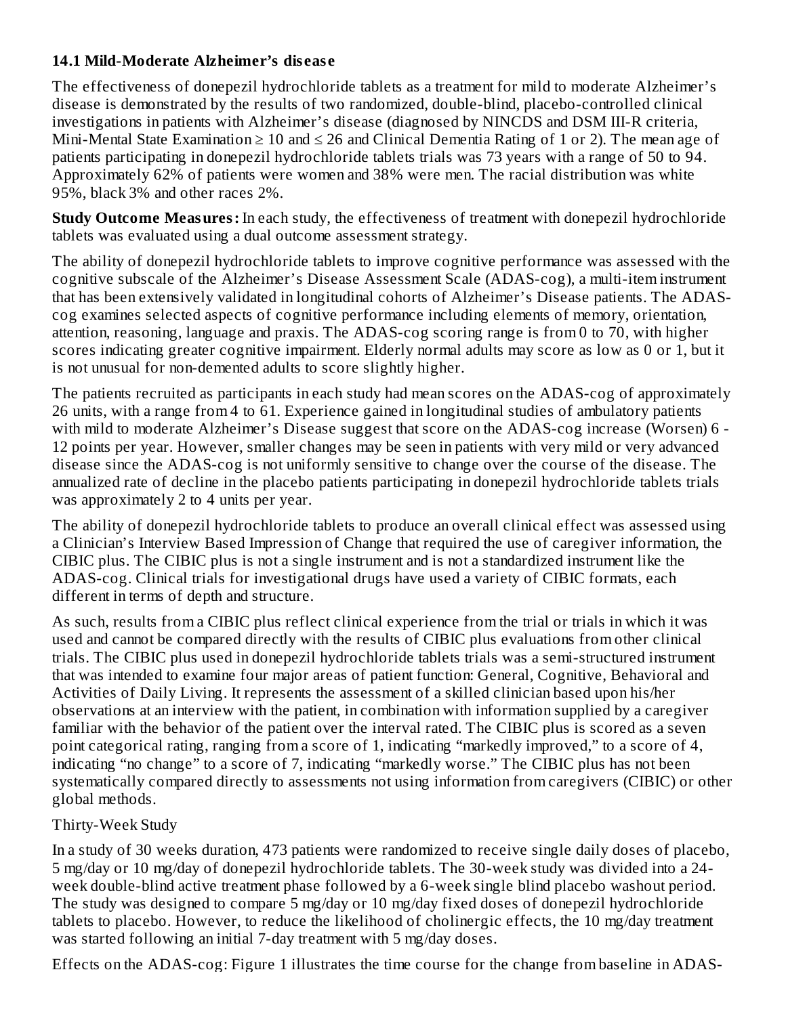#### **14.1 Mild-Moderate Alzheimer's dis eas e**

The effectiveness of donepezil hydrochloride tablets as a treatment for mild to moderate Alzheimer's disease is demonstrated by the results of two randomized, double-blind, placebo-controlled clinical investigations in patients with Alzheimer's disease (diagnosed by NINCDS and DSM III-R criteria, Mini-Mental State Examination  $\geq 10$  and  $\leq 26$  and Clinical Dementia Rating of 1 or 2). The mean age of patients participating in donepezil hydrochloride tablets trials was 73 years with a range of 50 to 94. Approximately 62% of patients were women and 38% were men. The racial distribution was white 95%, black 3% and other races 2%.

**Study Outcome Measures:** In each study, the effectiveness of treatment with donepezil hydrochloride tablets was evaluated using a dual outcome assessment strategy.

The ability of donepezil hydrochloride tablets to improve cognitive performance was assessed with the cognitive subscale of the Alzheimer's Disease Assessment Scale (ADAS-cog), a multi-item instrument that has been extensively validated in longitudinal cohorts of Alzheimer's Disease patients. The ADAScog examines selected aspects of cognitive performance including elements of memory, orientation, attention, reasoning, language and praxis. The ADAS-cog scoring range is from 0 to 70, with higher scores indicating greater cognitive impairment. Elderly normal adults may score as low as 0 or 1, but it is not unusual for non-demented adults to score slightly higher.

The patients recruited as participants in each study had mean scores on the ADAS-cog of approximately 26 units, with a range from 4 to 61. Experience gained in longitudinal studies of ambulatory patients with mild to moderate Alzheimer's Disease suggest that score on the ADAS-cog increase (Worsen) 6 - 12 points per year. However, smaller changes may be seen in patients with very mild or very advanced disease since the ADAS-cog is not uniformly sensitive to change over the course of the disease. The annualized rate of decline in the placebo patients participating in donepezil hydrochloride tablets trials was approximately 2 to 4 units per year.

The ability of donepezil hydrochloride tablets to produce an overall clinical effect was assessed using a Clinician's Interview Based Impression of Change that required the use of caregiver information, the CIBIC plus. The CIBIC plus is not a single instrument and is not a standardized instrument like the ADAS-cog. Clinical trials for investigational drugs have used a variety of CIBIC formats, each different in terms of depth and structure.

As such, results from a CIBIC plus reflect clinical experience from the trial or trials in which it was used and cannot be compared directly with the results of CIBIC plus evaluations from other clinical trials. The CIBIC plus used in donepezil hydrochloride tablets trials was a semi-structured instrument that was intended to examine four major areas of patient function: General, Cognitive, Behavioral and Activities of Daily Living. It represents the assessment of a skilled clinician based upon his/her observations at an interview with the patient, in combination with information supplied by a caregiver familiar with the behavior of the patient over the interval rated. The CIBIC plus is scored as a seven point categorical rating, ranging from a score of 1, indicating "markedly improved," to a score of 4, indicating "no change" to a score of 7, indicating "markedly worse." The CIBIC plus has not been systematically compared directly to assessments not using information from caregivers (CIBIC) or other global methods.

#### Thirty-Week Study

In a study of 30 weeks duration, 473 patients were randomized to receive single daily doses of placebo, 5 mg/day or 10 mg/day of donepezil hydrochloride tablets. The 30-week study was divided into a 24 week double-blind active treatment phase followed by a 6-week single blind placebo washout period. The study was designed to compare 5 mg/day or 10 mg/day fixed doses of donepezil hydrochloride tablets to placebo. However, to reduce the likelihood of cholinergic effects, the 10 mg/day treatment was started following an initial 7-day treatment with 5 mg/day doses.

Effects on the ADAS-cog: Figure 1 illustrates the time course for the change from baseline in ADAS-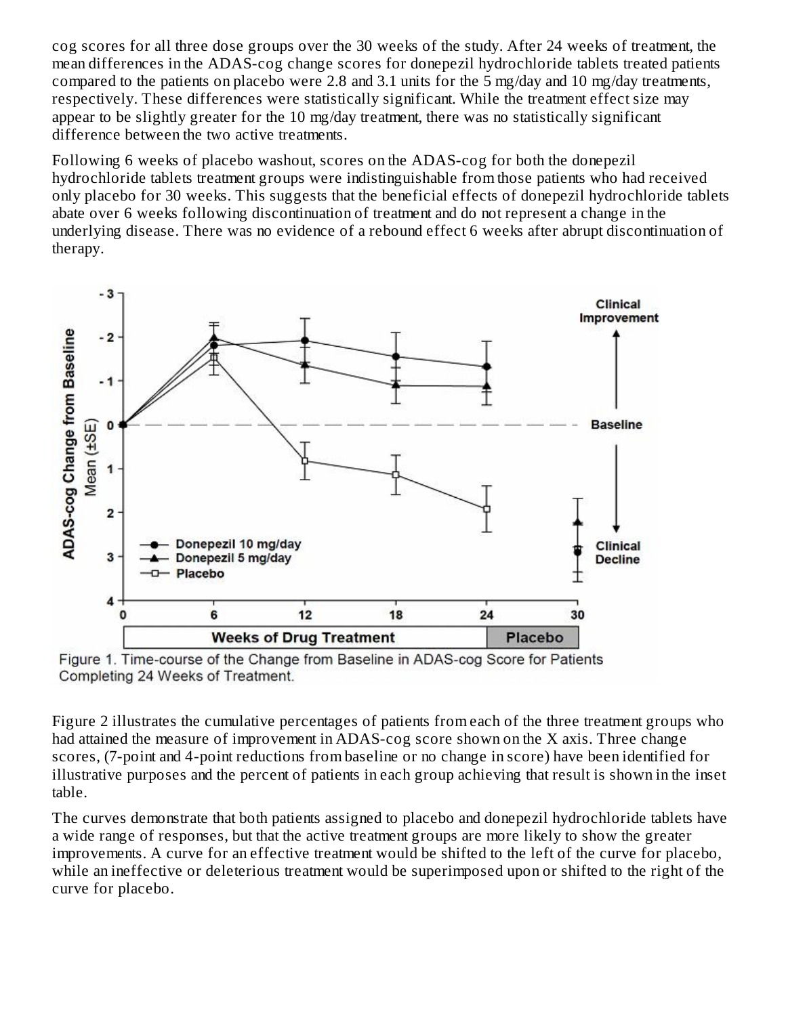cog scores for all three dose groups over the 30 weeks of the study. After 24 weeks of treatment, the mean differences in the ADAS-cog change scores for donepezil hydrochloride tablets treated patients compared to the patients on placebo were 2.8 and 3.1 units for the 5 mg/day and 10 mg/day treatments, respectively. These differences were statistically significant. While the treatment effect size may appear to be slightly greater for the 10 mg/day treatment, there was no statistically significant difference between the two active treatments.

Following 6 weeks of placebo washout, scores on the ADAS-cog for both the donepezil hydrochloride tablets treatment groups were indistinguishable from those patients who had received only placebo for 30 weeks. This suggests that the beneficial effects of donepezil hydrochloride tablets abate over 6 weeks following discontinuation of treatment and do not represent a change in the underlying disease. There was no evidence of a rebound effect 6 weeks after abrupt discontinuation of therapy.



Figure 1. Time-course of the Change from Baseline in ADAS-cog Score for Patients Completing 24 Weeks of Treatment.

Figure 2 illustrates the cumulative percentages of patients from each of the three treatment groups who had attained the measure of improvement in ADAS-cog score shown on the X axis. Three change scores, (7-point and 4-point reductions from baseline or no change in score) have been identified for illustrative purposes and the percent of patients in each group achieving that result is shown in the inset table.

The curves demonstrate that both patients assigned to placebo and donepezil hydrochloride tablets have a wide range of responses, but that the active treatment groups are more likely to show the greater improvements. A curve for an effective treatment would be shifted to the left of the curve for placebo, while an ineffective or deleterious treatment would be superimposed upon or shifted to the right of the curve for placebo.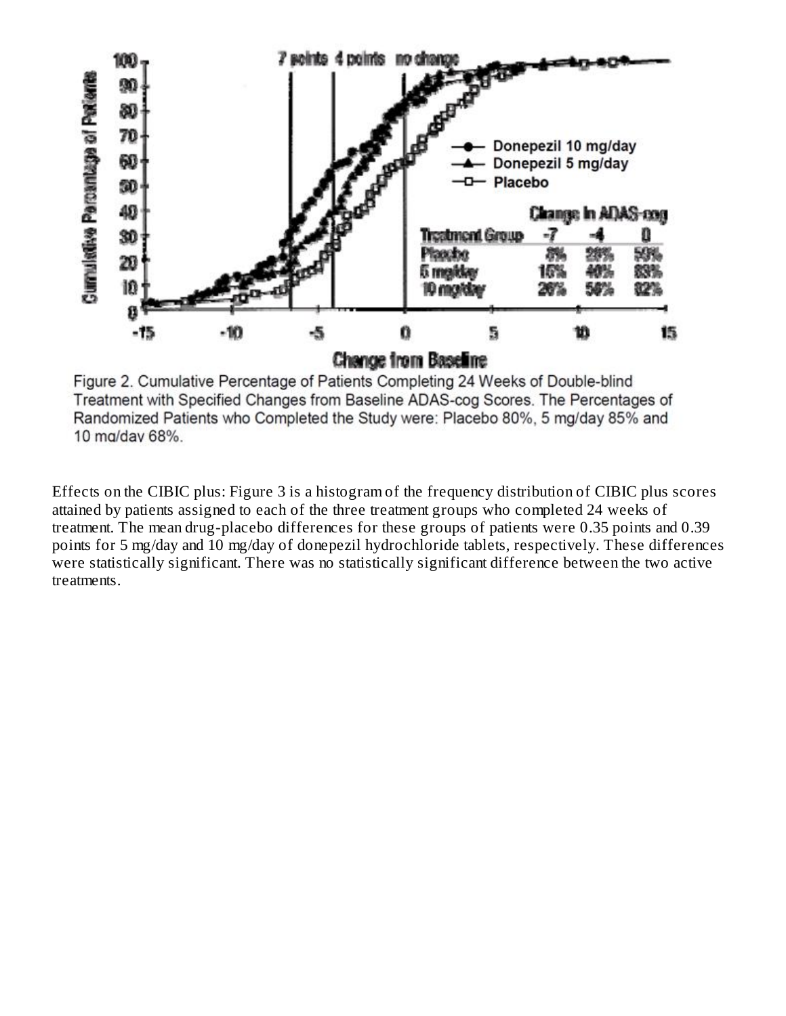

Figure 2. Cumulative Percentage of Patients Completing 24 Weeks of Double-blind Treatment with Specified Changes from Baseline ADAS-cog Scores. The Percentages of Randomized Patients who Completed the Study were: Placebo 80%, 5 mg/day 85% and 10 mg/day 68%.

Effects on the CIBIC plus: Figure 3 is a histogram of the frequency distribution of CIBIC plus scores attained by patients assigned to each of the three treatment groups who completed 24 weeks of treatment. The mean drug-placebo differences for these groups of patients were 0.35 points and 0.39 points for 5 mg/day and 10 mg/day of donepezil hydrochloride tablets, respectively. These differences were statistically significant. There was no statistically significant difference between the two active treatments.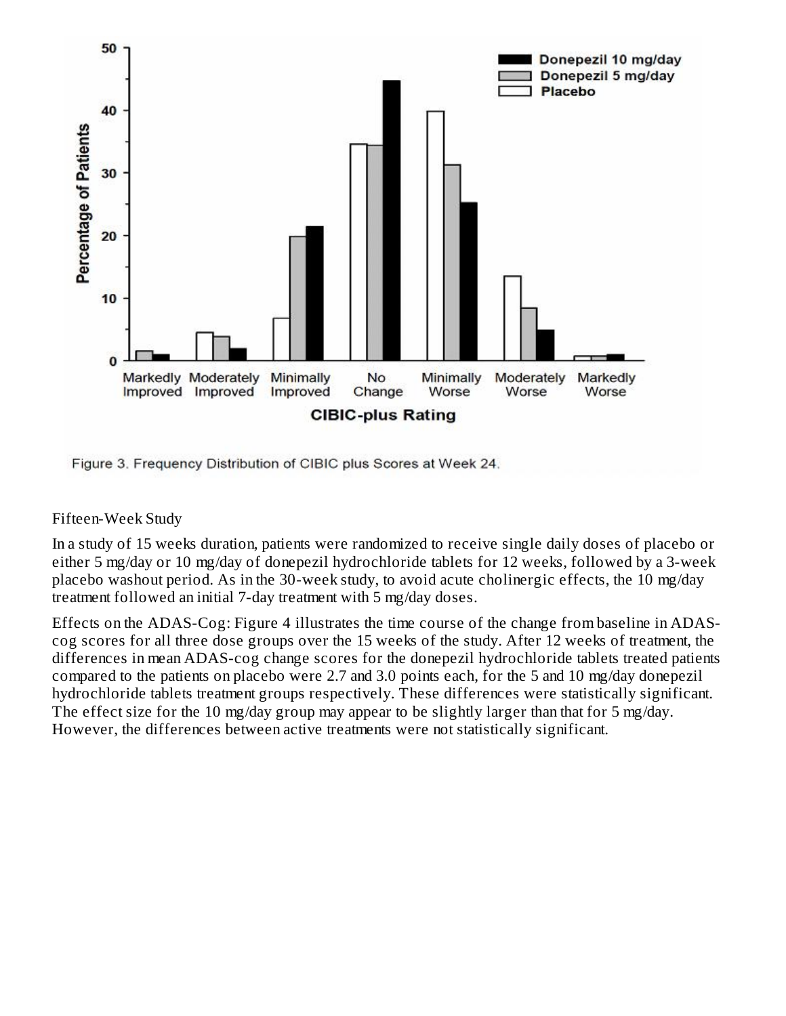

Figure 3. Frequency Distribution of CIBIC plus Scores at Week 24.

#### Fifteen-Week Study

In a study of 15 weeks duration, patients were randomized to receive single daily doses of placebo or either 5 mg/day or 10 mg/day of donepezil hydrochloride tablets for 12 weeks, followed by a 3-week placebo washout period. As in the 30-week study, to avoid acute cholinergic effects, the 10 mg/day treatment followed an initial 7-day treatment with 5 mg/day doses.

Effects on the ADAS-Cog: Figure 4 illustrates the time course of the change from baseline in ADAScog scores for all three dose groups over the 15 weeks of the study. After 12 weeks of treatment, the differences in mean ADAS-cog change scores for the donepezil hydrochloride tablets treated patients compared to the patients on placebo were 2.7 and 3.0 points each, for the 5 and 10 mg/day donepezil hydrochloride tablets treatment groups respectively. These differences were statistically significant. The effect size for the 10 mg/day group may appear to be slightly larger than that for 5 mg/day. However, the differences between active treatments were not statistically significant.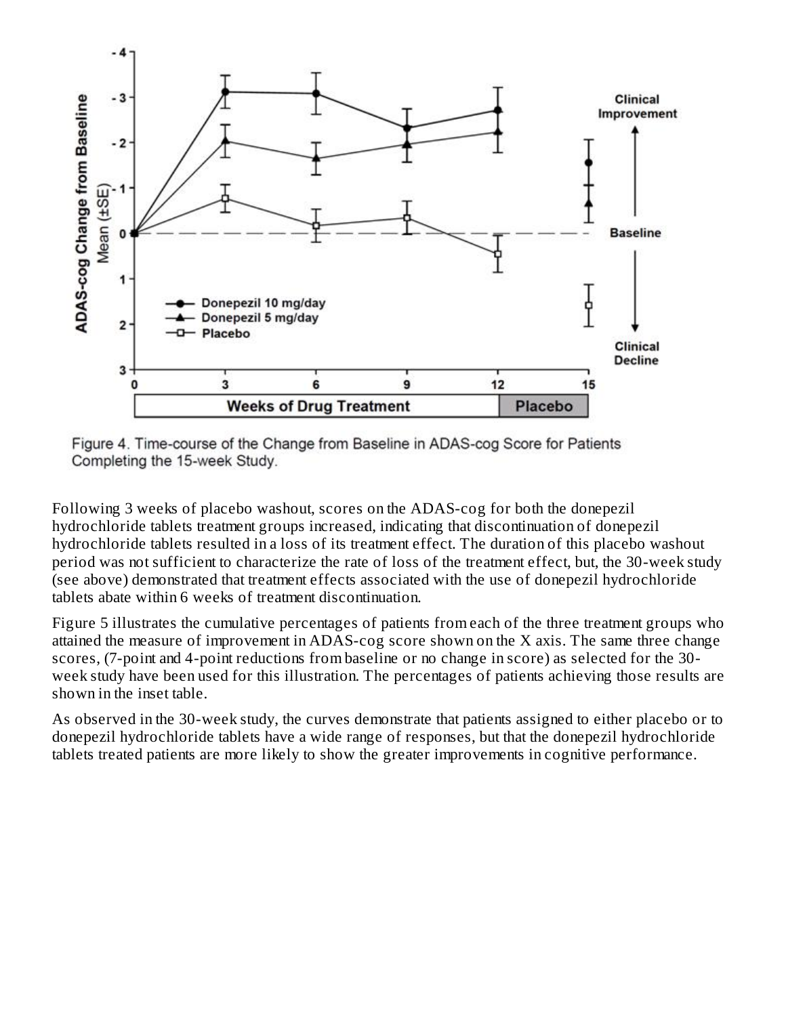

Figure 4. Time-course of the Change from Baseline in ADAS-cog Score for Patients Completing the 15-week Study.

Following 3 weeks of placebo washout, scores on the ADAS-cog for both the donepezil hydrochloride tablets treatment groups increased, indicating that discontinuation of donepezil hydrochloride tablets resulted in a loss of its treatment effect. The duration of this placebo washout period was not sufficient to characterize the rate of loss of the treatment effect, but, the 30-week study (see above) demonstrated that treatment effects associated with the use of donepezil hydrochloride tablets abate within 6 weeks of treatment discontinuation.

Figure 5 illustrates the cumulative percentages of patients from each of the three treatment groups who attained the measure of improvement in ADAS-cog score shown on the X axis. The same three change scores, (7-point and 4-point reductions from baseline or no change in score) as selected for the 30 week study have been used for this illustration. The percentages of patients achieving those results are shown in the inset table.

As observed in the 30-week study, the curves demonstrate that patients assigned to either placebo or to donepezil hydrochloride tablets have a wide range of responses, but that the donepezil hydrochloride tablets treated patients are more likely to show the greater improvements in cognitive performance.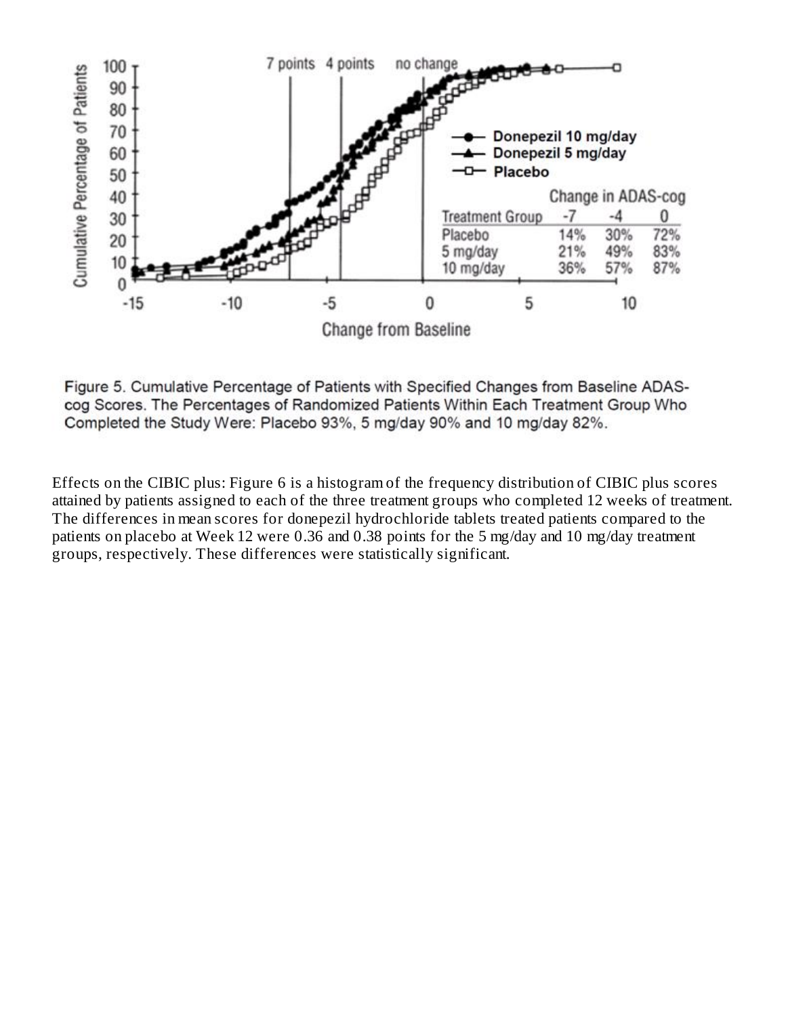

Figure 5. Cumulative Percentage of Patients with Specified Changes from Baseline ADAScog Scores. The Percentages of Randomized Patients Within Each Treatment Group Who Completed the Study Were: Placebo 93%, 5 mg/day 90% and 10 mg/day 82%.

Effects on the CIBIC plus: Figure 6 is a histogram of the frequency distribution of CIBIC plus scores attained by patients assigned to each of the three treatment groups who completed 12 weeks of treatment. The differences in mean scores for donepezil hydrochloride tablets treated patients compared to the patients on placebo at Week 12 were 0.36 and 0.38 points for the 5 mg/day and 10 mg/day treatment groups, respectively. These differences were statistically significant.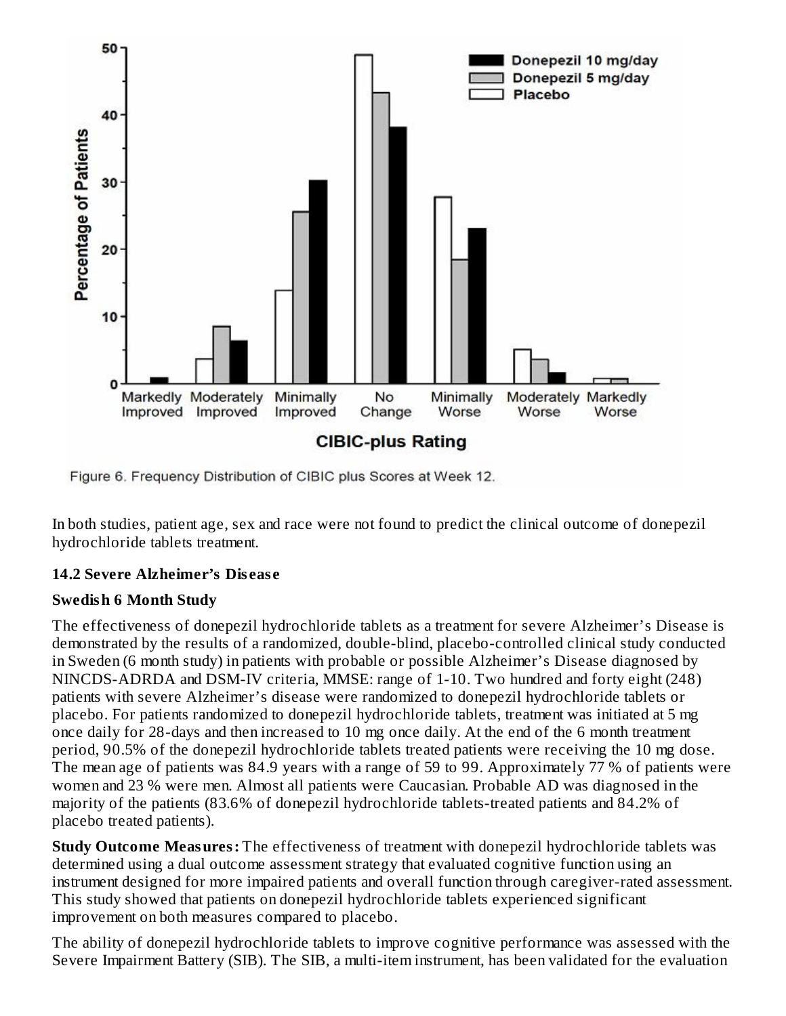

Figure 6. Frequency Distribution of CIBIC plus Scores at Week 12.

In both studies, patient age, sex and race were not found to predict the clinical outcome of donepezil hydrochloride tablets treatment.

#### **14.2 Severe Alzheimer's Dis eas e**

### **Swedish 6 Month Study**

The effectiveness of donepezil hydrochloride tablets as a treatment for severe Alzheimer's Disease is demonstrated by the results of a randomized, double-blind, placebo-controlled clinical study conducted in Sweden (6 month study) in patients with probable or possible Alzheimer's Disease diagnosed by NINCDS-ADRDA and DSM-IV criteria, MMSE: range of 1-10. Two hundred and forty eight (248) patients with severe Alzheimer's disease were randomized to donepezil hydrochloride tablets or placebo. For patients randomized to donepezil hydrochloride tablets, treatment was initiated at 5 mg once daily for 28-days and then increased to 10 mg once daily. At the end of the 6 month treatment period, 90.5% of the donepezil hydrochloride tablets treated patients were receiving the 10 mg dose. The mean age of patients was 84.9 years with a range of 59 to 99. Approximately 77 % of patients were women and 23 % were men. Almost all patients were Caucasian. Probable AD was diagnosed in the majority of the patients (83.6% of donepezil hydrochloride tablets-treated patients and 84.2% of placebo treated patients).

**Study Outcome Measures:** The effectiveness of treatment with donepezil hydrochloride tablets was determined using a dual outcome assessment strategy that evaluated cognitive function using an instrument designed for more impaired patients and overall function through caregiver-rated assessment. This study showed that patients on donepezil hydrochloride tablets experienced significant improvement on both measures compared to placebo.

The ability of donepezil hydrochloride tablets to improve cognitive performance was assessed with the Severe Impairment Battery (SIB). The SIB, a multi-item instrument, has been validated for the evaluation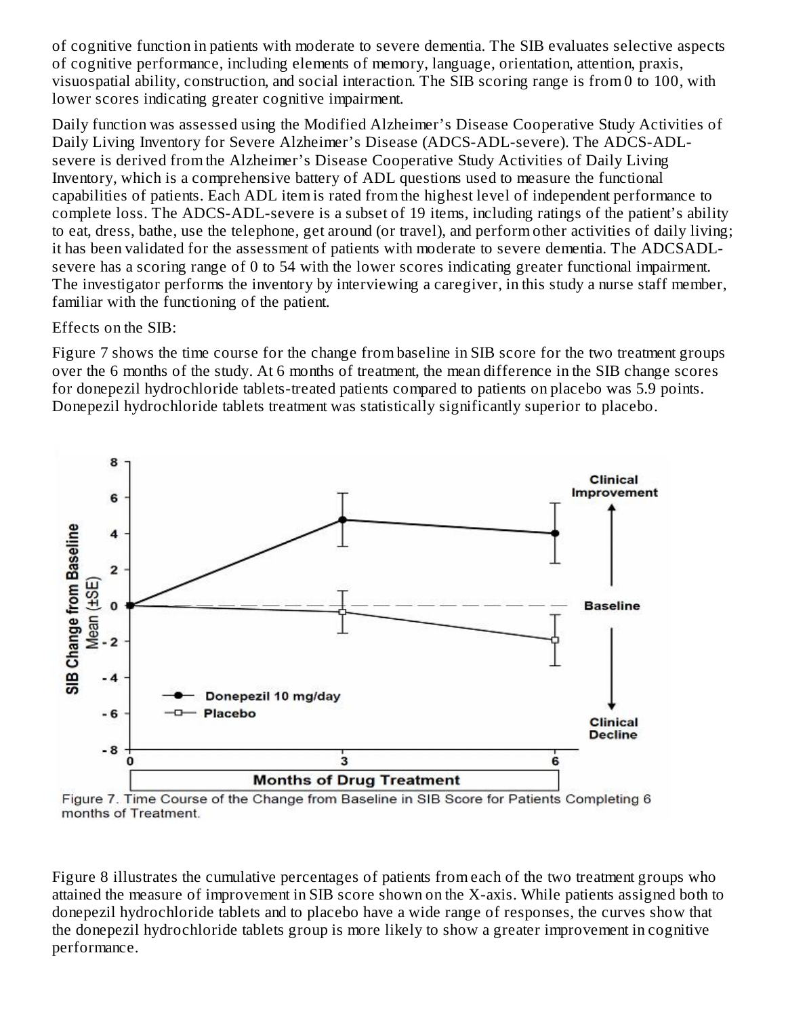of cognitive function in patients with moderate to severe dementia. The SIB evaluates selective aspects of cognitive performance, including elements of memory, language, orientation, attention, praxis, visuospatial ability, construction, and social interaction. The SIB scoring range is from 0 to 100, with lower scores indicating greater cognitive impairment.

Daily function was assessed using the Modified Alzheimer's Disease Cooperative Study Activities of Daily Living Inventory for Severe Alzheimer's Disease (ADCS-ADL-severe). The ADCS-ADLsevere is derived from the Alzheimer's Disease Cooperative Study Activities of Daily Living Inventory, which is a comprehensive battery of ADL questions used to measure the functional capabilities of patients. Each ADL item is rated from the highest level of independent performance to complete loss. The ADCS-ADL-severe is a subset of 19 items, including ratings of the patient's ability to eat, dress, bathe, use the telephone, get around (or travel), and perform other activities of daily living; it has been validated for the assessment of patients with moderate to severe dementia. The ADCSADLsevere has a scoring range of 0 to 54 with the lower scores indicating greater functional impairment. The investigator performs the inventory by interviewing a caregiver, in this study a nurse staff member, familiar with the functioning of the patient.

#### Effects on the SIB:

Figure 7 shows the time course for the change from baseline in SIB score for the two treatment groups over the 6 months of the study. At 6 months of treatment, the mean difference in the SIB change scores for donepezil hydrochloride tablets-treated patients compared to patients on placebo was 5.9 points. Donepezil hydrochloride tablets treatment was statistically significantly superior to placebo.



Figure 7. Time Course of the Change from Baseline in SIB Score for Patients Completing 6 months of Treatment.

Figure 8 illustrates the cumulative percentages of patients from each of the two treatment groups who attained the measure of improvement in SIB score shown on the X-axis. While patients assigned both to donepezil hydrochloride tablets and to placebo have a wide range of responses, the curves show that the donepezil hydrochloride tablets group is more likely to show a greater improvement in cognitive performance.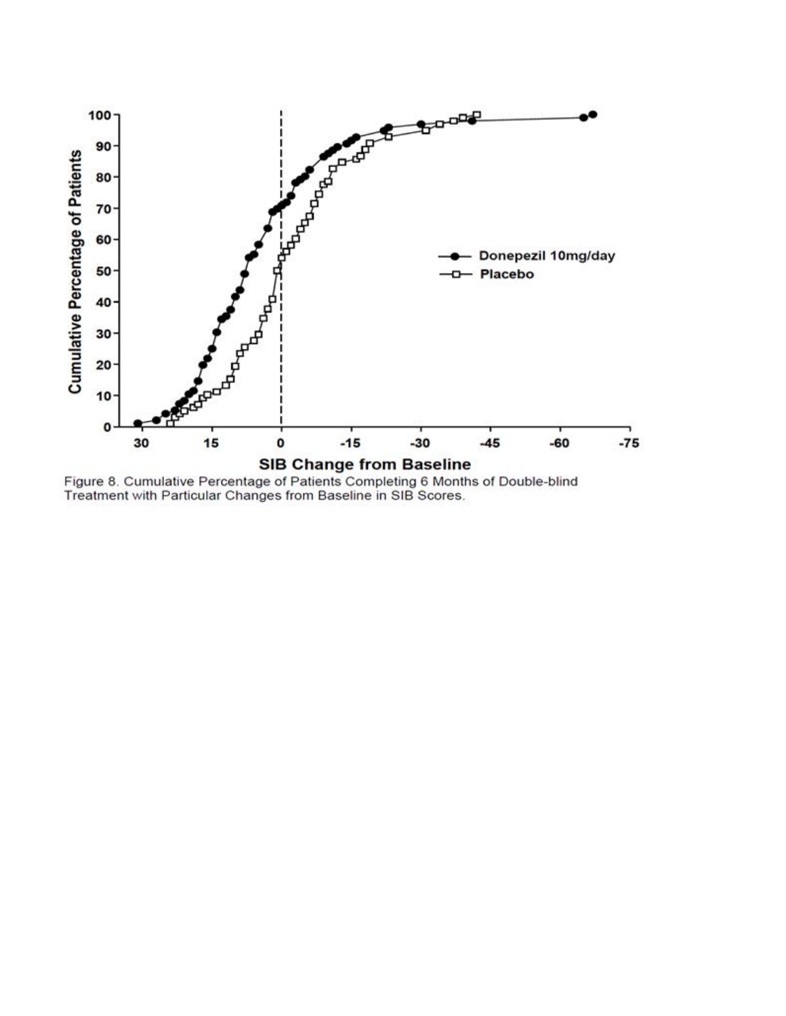

Figure 8. Cumulative Percentage of Patients Completing 6 Months of Double-blind<br>Treatment with Particular Changes from Baseline in SIB Scores.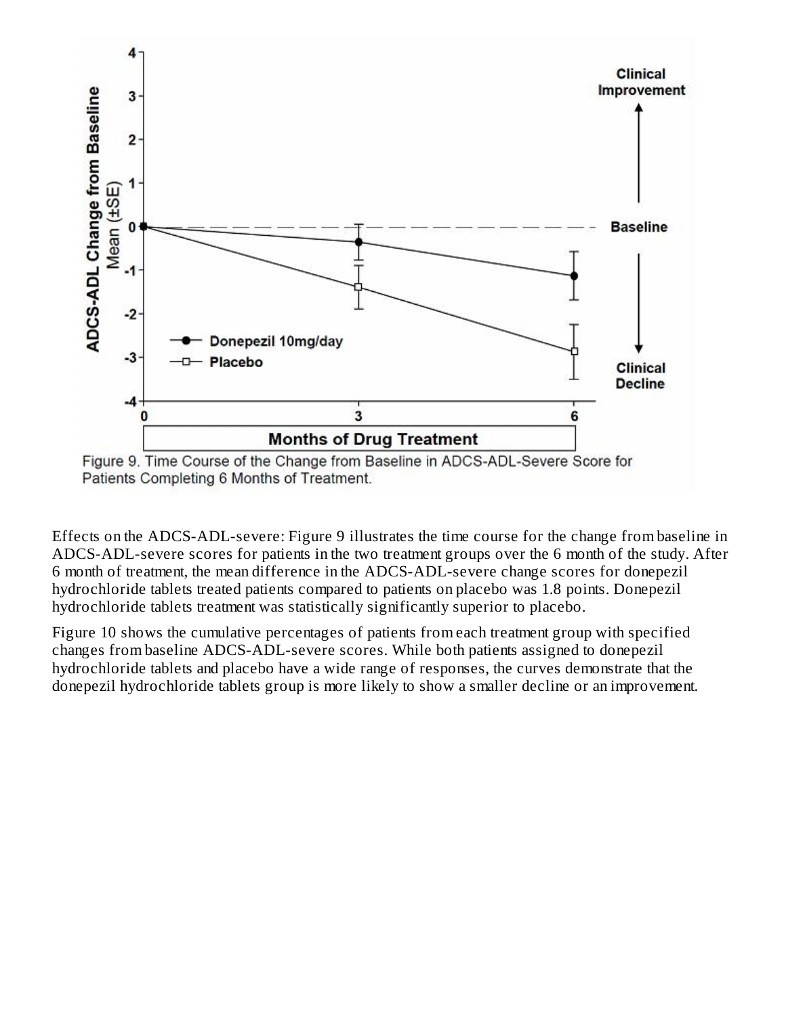

Effects on the ADCS-ADL-severe: Figure 9 illustrates the time course for the change from baseline in ADCS-ADL-severe scores for patients in the two treatment groups over the 6 month of the study. After 6 month of treatment, the mean difference in the ADCS-ADL-severe change scores for donepezil hydrochloride tablets treated patients compared to patients on placebo was 1.8 points. Donepezil hydrochloride tablets treatment was statistically significantly superior to placebo.

Figure 10 shows the cumulative percentages of patients from each treatment group with specified changes from baseline ADCS-ADL-severe scores. While both patients assigned to donepezil hydrochloride tablets and placebo have a wide range of responses, the curves demonstrate that the donepezil hydrochloride tablets group is more likely to show a smaller decline or an improvement.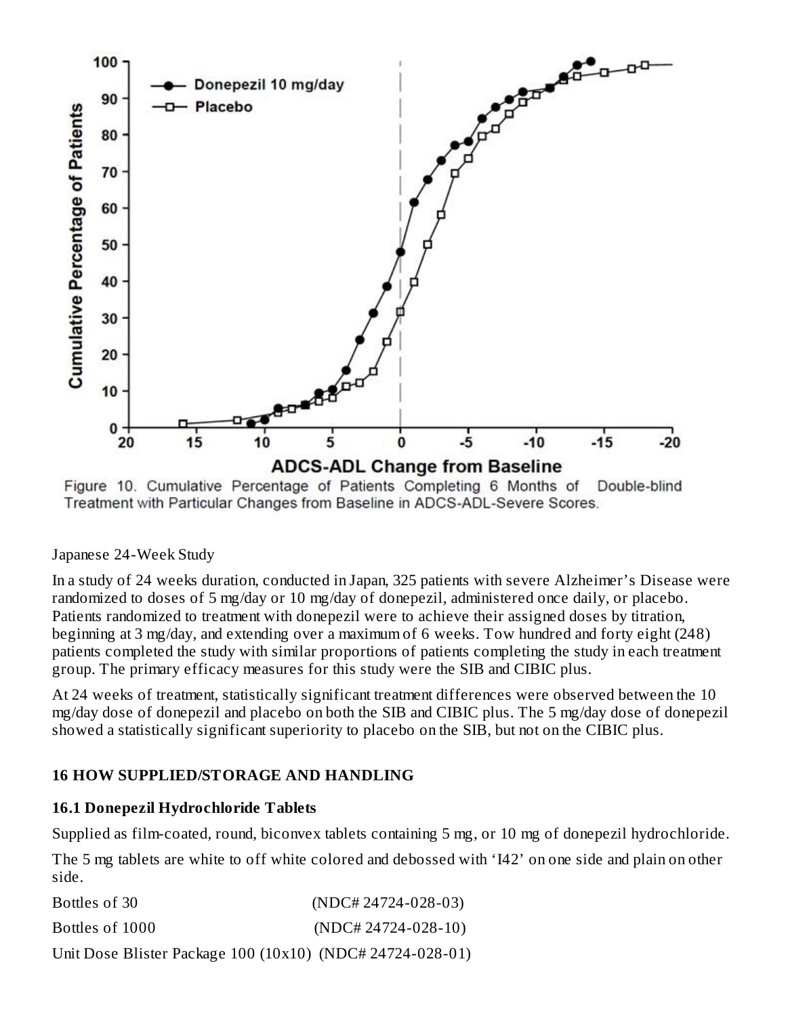

Figure 10. Cumulative Percentage of Patients Completing 6 Months of Double-blind Treatment with Particular Changes from Baseline in ADCS-ADL-Severe Scores.

#### Japanese 24-Week Study

In a study of 24 weeks duration, conducted in Japan, 325 patients with severe Alzheimer's Disease were randomized to doses of 5 mg/day or 10 mg/day of donepezil, administered once daily, or placebo. Patients randomized to treatment with donepezil were to achieve their assigned doses by titration, beginning at 3 mg/day, and extending over a maximum of 6 weeks. Tow hundred and forty eight (248) patients completed the study with similar proportions of patients completing the study in each treatment group. The primary efficacy measures for this study were the SIB and CIBIC plus.

At 24 weeks of treatment, statistically significant treatment differences were observed between the 10 mg/day dose of donepezil and placebo on both the SIB and CIBIC plus. The 5 mg/day dose of donepezil showed a statistically significant superiority to placebo on the SIB, but not on the CIBIC plus.

#### **16 HOW SUPPLIED/STORAGE AND HANDLING**

#### **16.1 Donepezil Hydrochloride Tablets**

Supplied as film-coated, round, biconvex tablets containing 5 mg, or 10 mg of donepezil hydrochloride.

The 5 mg tablets are white to off white colored and debossed with 'I42' on one side and plain on other side.

| Bottles of 30                                             | $(NDC# 24724-028-03)$ |
|-----------------------------------------------------------|-----------------------|
| Bottles of 1000                                           | $(NDC# 24724-028-10)$ |
| Unit Dose Blister Package 100 (10x10) (NDC# 24724-028-01) |                       |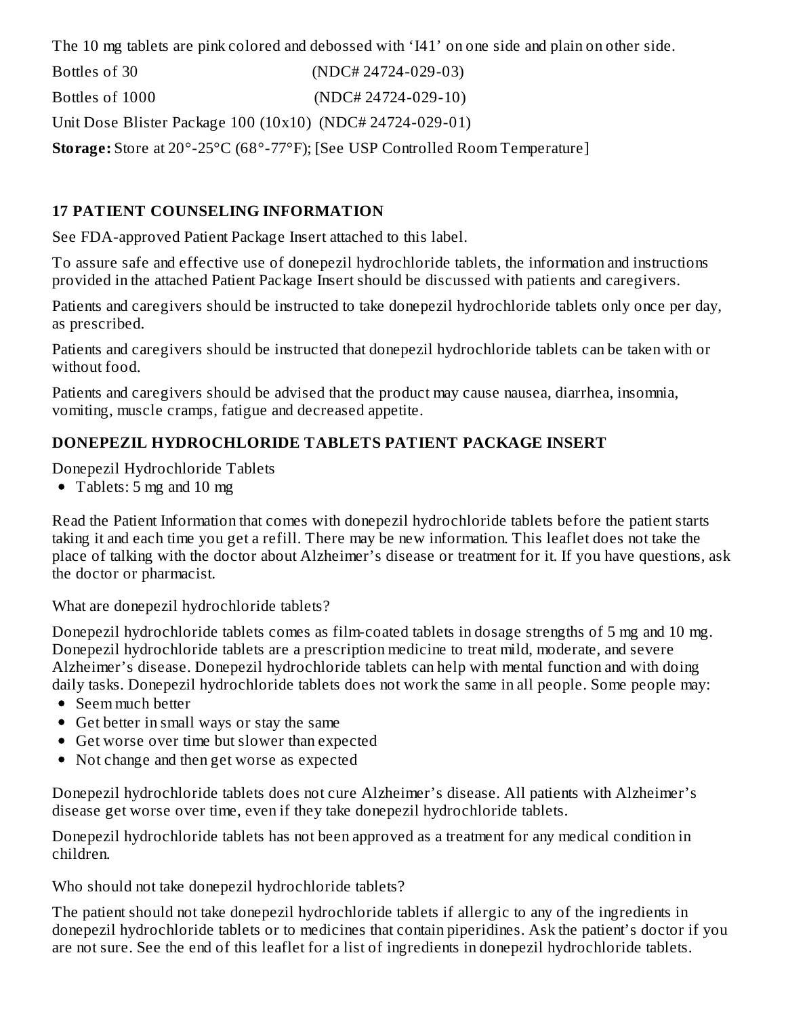The 10 mg tablets are pink colored and debossed with 'I41' on one side and plain on other side.

Bottles of 30 (NDC# 24724-029-03)

Bottles of 1000 (NDC# 24724-029-10)

Unit Dose Blister Package 100 (10x10) (NDC# 24724-029-01)

**Storage:** Store at 20°-25°C (68°-77°F); [See USP Controlled Room Temperature]

### **17 PATIENT COUNSELING INFORMATION**

See FDA-approved Patient Package Insert attached to this label.

To assure safe and effective use of donepezil hydrochloride tablets, the information and instructions provided in the attached Patient Package Insert should be discussed with patients and caregivers.

Patients and caregivers should be instructed to take donepezil hydrochloride tablets only once per day, as prescribed.

Patients and caregivers should be instructed that donepezil hydrochloride tablets can be taken with or without food.

Patients and caregivers should be advised that the product may cause nausea, diarrhea, insomnia, vomiting, muscle cramps, fatigue and decreased appetite.

### **DONEPEZIL HYDROCHLORIDE TABLETS PATIENT PACKAGE INSERT**

Donepezil Hydrochloride Tablets

• Tablets: 5 mg and 10 mg

Read the Patient Information that comes with donepezil hydrochloride tablets before the patient starts taking it and each time you get a refill. There may be new information. This leaflet does not take the place of talking with the doctor about Alzheimer's disease or treatment for it. If you have questions, ask the doctor or pharmacist.

What are donepezil hydrochloride tablets?

Donepezil hydrochloride tablets comes as film-coated tablets in dosage strengths of 5 mg and 10 mg. Donepezil hydrochloride tablets are a prescription medicine to treat mild, moderate, and severe Alzheimer's disease. Donepezil hydrochloride tablets can help with mental function and with doing daily tasks. Donepezil hydrochloride tablets does not work the same in all people. Some people may:

- Seem much better
- Get better in small ways or stay the same
- Get worse over time but slower than expected
- Not change and then get worse as expected

Donepezil hydrochloride tablets does not cure Alzheimer's disease. All patients with Alzheimer's disease get worse over time, even if they take donepezil hydrochloride tablets.

Donepezil hydrochloride tablets has not been approved as a treatment for any medical condition in children.

Who should not take donepezil hydrochloride tablets?

The patient should not take donepezil hydrochloride tablets if allergic to any of the ingredients in donepezil hydrochloride tablets or to medicines that contain piperidines. Ask the patient's doctor if you are not sure. See the end of this leaflet for a list of ingredients in donepezil hydrochloride tablets.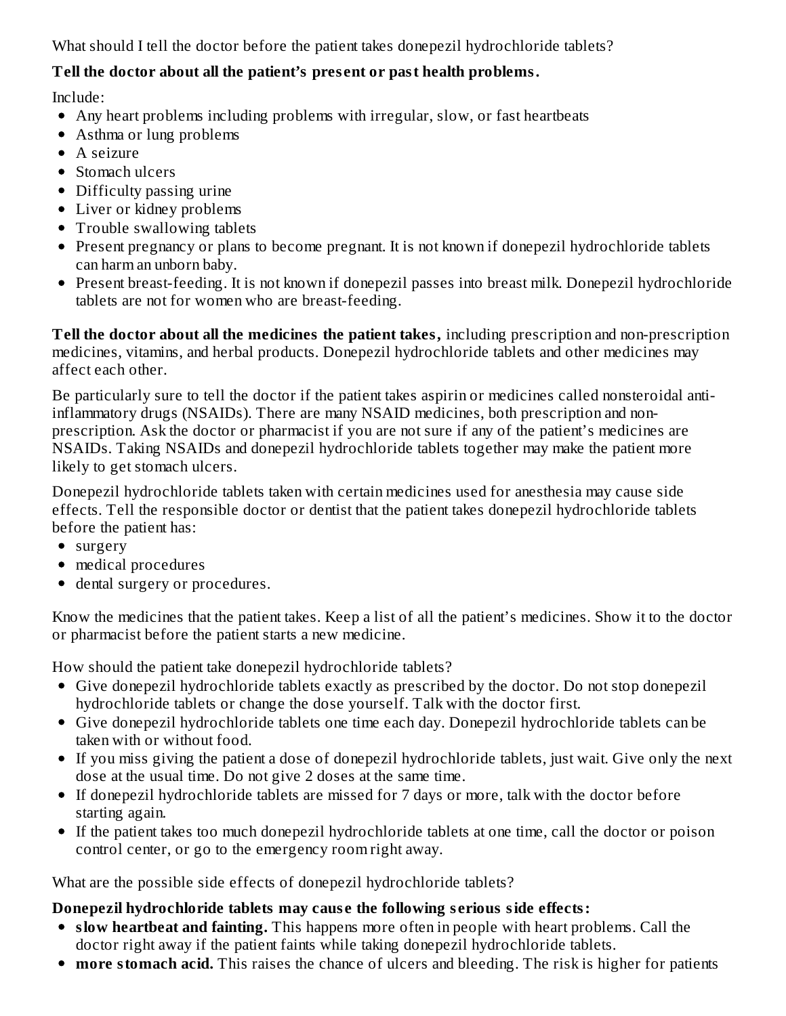What should I tell the doctor before the patient takes donepezil hydrochloride tablets?

#### **Tell the doctor about all the patient's pres ent or past health problems.**

Include:

- Any heart problems including problems with irregular, slow, or fast heartbeats
- Asthma or lung problems
- A seizure
- Stomach ulcers
- Difficulty passing urine
- Liver or kidney problems
- Trouble swallowing tablets
- Present pregnancy or plans to become pregnant. It is not known if donepezil hydrochloride tablets can harm an unborn baby.
- Present breast-feeding. It is not known if donepezil passes into breast milk. Donepezil hydrochloride tablets are not for women who are breast-feeding.

**Tell the doctor about all the medicines the patient takes,** including prescription and non-prescription medicines, vitamins, and herbal products. Donepezil hydrochloride tablets and other medicines may affect each other.

Be particularly sure to tell the doctor if the patient takes aspirin or medicines called nonsteroidal antiinflammatory drugs (NSAIDs). There are many NSAID medicines, both prescription and nonprescription. Ask the doctor or pharmacist if you are not sure if any of the patient's medicines are NSAIDs. Taking NSAIDs and donepezil hydrochloride tablets together may make the patient more likely to get stomach ulcers.

Donepezil hydrochloride tablets taken with certain medicines used for anesthesia may cause side effects. Tell the responsible doctor or dentist that the patient takes donepezil hydrochloride tablets before the patient has:

- surgery
- medical procedures
- dental surgery or procedures.

Know the medicines that the patient takes. Keep a list of all the patient's medicines. Show it to the doctor or pharmacist before the patient starts a new medicine.

How should the patient take donepezil hydrochloride tablets?

- Give donepezil hydrochloride tablets exactly as prescribed by the doctor. Do not stop donepezil hydrochloride tablets or change the dose yourself. Talk with the doctor first.
- Give donepezil hydrochloride tablets one time each day. Donepezil hydrochloride tablets can be taken with or without food.
- If you miss giving the patient a dose of donepezil hydrochloride tablets, just wait. Give only the next dose at the usual time. Do not give 2 doses at the same time.
- If donepezil hydrochloride tablets are missed for 7 days or more, talk with the doctor before starting again.
- If the patient takes too much donepezil hydrochloride tablets at one time, call the doctor or poison control center, or go to the emergency room right away.

What are the possible side effects of donepezil hydrochloride tablets?

### **Donepezil hydrochloride tablets may caus e the following s erious side effects:**

- **slow heartbeat and fainting.** This happens more often in people with heart problems. Call the doctor right away if the patient faints while taking donepezil hydrochloride tablets.
- **more stomach acid.** This raises the chance of ulcers and bleeding. The risk is higher for patients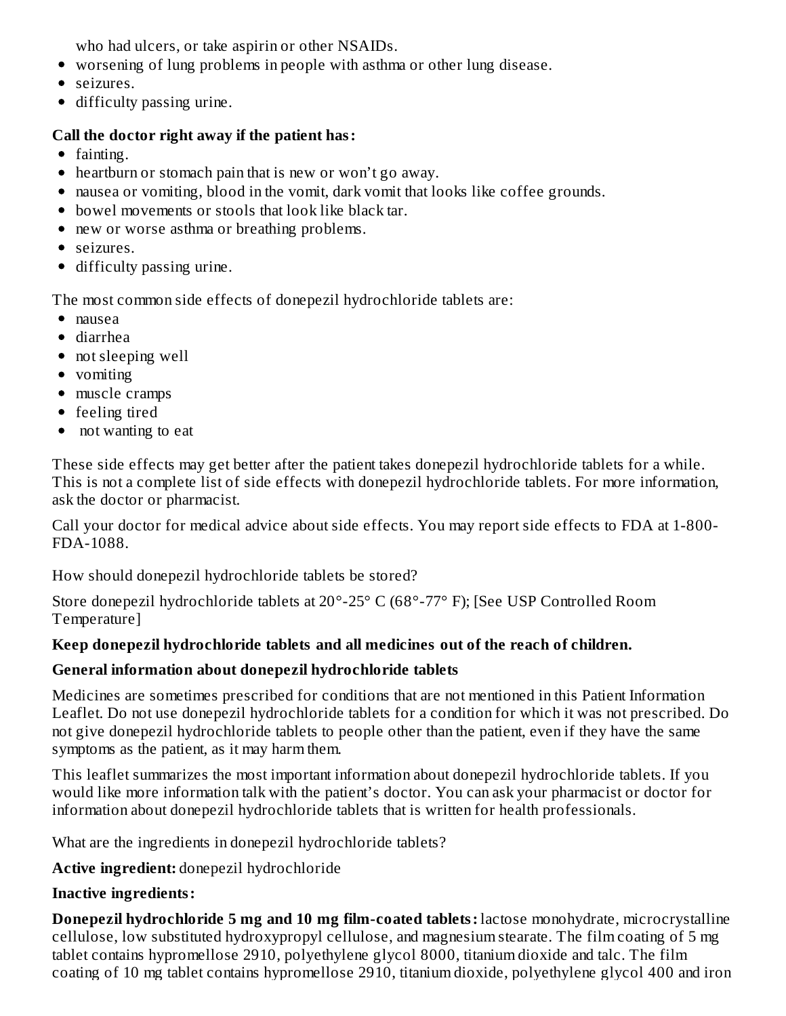who had ulcers, or take aspirin or other NSAIDs.

- worsening of lung problems in people with asthma or other lung disease.
- seizures.
- difficulty passing urine.

#### **Call the doctor right away if the patient has:**

- fainting.
- heartburn or stomach pain that is new or won't go away.
- nausea or vomiting, blood in the vomit, dark vomit that looks like coffee grounds.
- bowel movements or stools that look like black tar.
- new or worse asthma or breathing problems.
- seizures.
- difficulty passing urine.

The most common side effects of donepezil hydrochloride tablets are:

- nausea
- diarrhea
- not sleeping well
- vomiting
- muscle cramps
- feeling tired
- not wanting to eat

These side effects may get better after the patient takes donepezil hydrochloride tablets for a while. This is not a complete list of side effects with donepezil hydrochloride tablets. For more information, ask the doctor or pharmacist.

Call your doctor for medical advice about side effects. You may report side effects to FDA at 1-800- FDA-1088.

How should donepezil hydrochloride tablets be stored?

Store donepezil hydrochloride tablets at 20°-25° C (68°-77° F); [See USP Controlled Room Temperature]

### **Keep donepezil hydrochloride tablets and all medicines out of the reach of children.**

### **General information about donepezil hydrochloride tablets**

Medicines are sometimes prescribed for conditions that are not mentioned in this Patient Information Leaflet. Do not use donepezil hydrochloride tablets for a condition for which it was not prescribed. Do not give donepezil hydrochloride tablets to people other than the patient, even if they have the same symptoms as the patient, as it may harm them.

This leaflet summarizes the most important information about donepezil hydrochloride tablets. If you would like more information talk with the patient's doctor. You can ask your pharmacist or doctor for information about donepezil hydrochloride tablets that is written for health professionals.

What are the ingredients in donepezil hydrochloride tablets?

**Active ingredient:** donepezil hydrochloride

#### **Inactive ingredients:**

**Donepezil hydrochloride 5 mg and 10 mg film-coated tablets:** lactose monohydrate, microcrystalline cellulose, low substituted hydroxypropyl cellulose, and magnesium stearate. The film coating of 5 mg tablet contains hypromellose 2910, polyethylene glycol 8000, titanium dioxide and talc. The film coating of 10 mg tablet contains hypromellose 2910, titanium dioxide, polyethylene glycol 400 and iron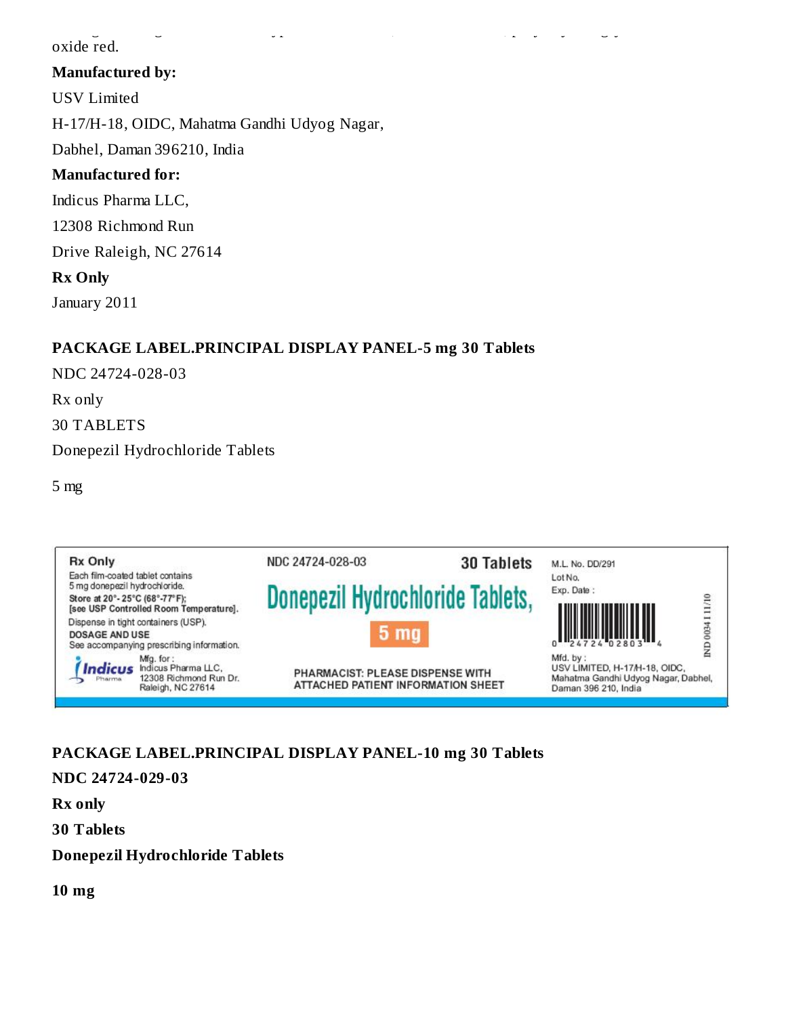coating of 10 mg tablet contains hypromellose 2910, titanium dioxide, polyethylene glycol 400 and iron oxide red.

#### **Manufactured by:**

USV Limited

H-17/H-18, OIDC, Mahatma Gandhi Udyog Nagar,

Dabhel, Daman 396210, India

#### **Manufactured for:**

Indicus Pharma LLC,

12308 Richmond Run

Drive Raleigh, NC 27614

#### **Rx Only**

January 2011

#### **PACKAGE LABEL.PRINCIPAL DISPLAY PANEL-5 mg 30 Tablets**

NDC 24724-028-03 Rx only 30 TABLETS Donepezil Hydrochloride Tablets

5 mg



### **PACKAGE LABEL.PRINCIPAL DISPLAY PANEL-10 mg 30 Tablets**

**NDC 24724-029-03**

**Rx only**

**30 Tablets**

**Donepezil Hydrochloride Tablets**

**10 mg**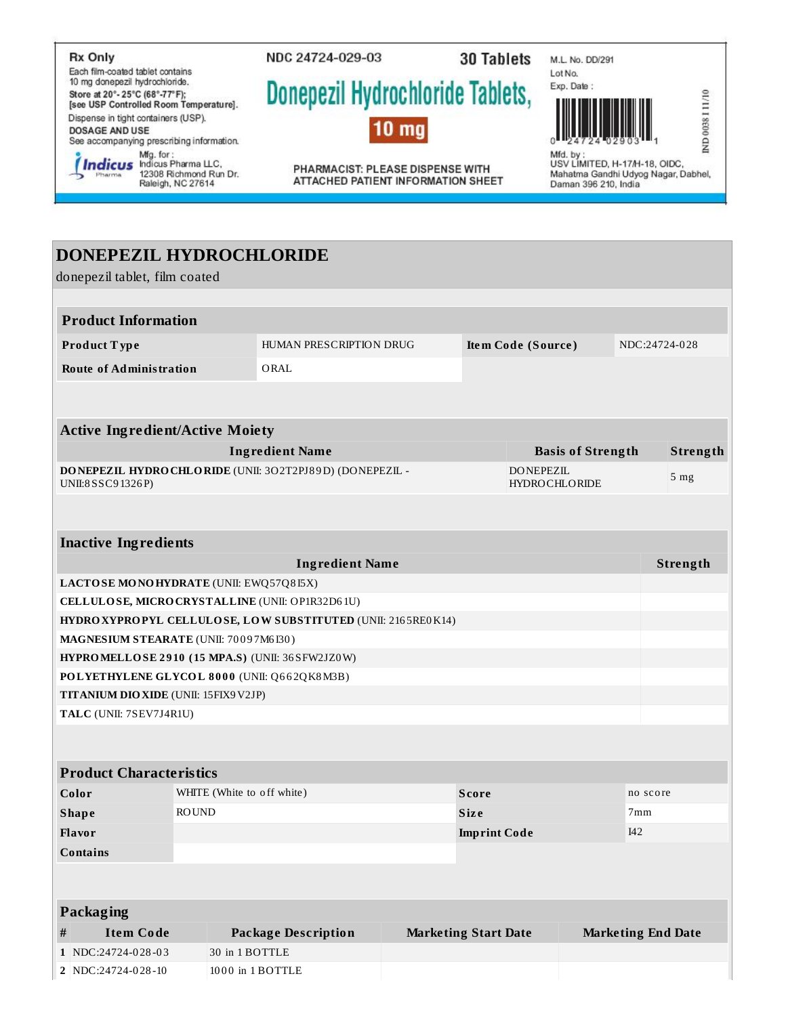

## **DONEPEZIL HYDROCHLORIDE** donepezil tablet, film coated **Product Information Product T ype** HUMAN PRESCRIPTION DRUG **Ite m Code (Source )** NDC:24724-0 28 **Route of Administration** ORAL **Active Ingredient/Active Moiety Ingredient Name Basis of Strength Strength DONEPEZIL HYDROCHLORIDE** (UNII: 3O2T2PJ8 9D) (DONEPEZIL - UNII:8 SSC9 1326 P) **DONEPEZIL** HYDROCHLORIDE 5 mg **Inactive Ingredients Ingredient Name Strength LACTOSE MONOHYDRATE** (UNII: EWQ57Q8 I5X) **CELLULOSE, MICROCRYSTALLINE** (UNII: OP1R32D6 1U) **HYDROXYPROPYL CELLULOSE, LOW SUBSTITUTED** (UNII: 216 5RE0K14) **MAGNESIUM STEARATE** (UNII: 70097M6130) **HYPROMELLOSE 2 9 10 ( 15 MPA.S)** (UNII: 36 SFW2JZ0W) **POLYETHYLENE GLYCOL 8 0 0 0** (UNII: Q6 6 2QK8M3B) **TITANIUM DIOXIDE** (UNII: 15FIX9V2JP) **TALC** (UNII: 7SEV7J4R1U) **Product Characteristics Color Color WHITE** (White to off white) **Score Score no** score **no** score **Shape** ROUND ROUND **Size** 7mm **Flavor Imprint Code** I42 **Contains Packaging # Item Code Package Description Marketing Start Date Marketing End Date 1** NDC:24724-028-03 30 in 1 BOTTLE **2** NDC:24724-028-10 1000 in 1 BOTTLE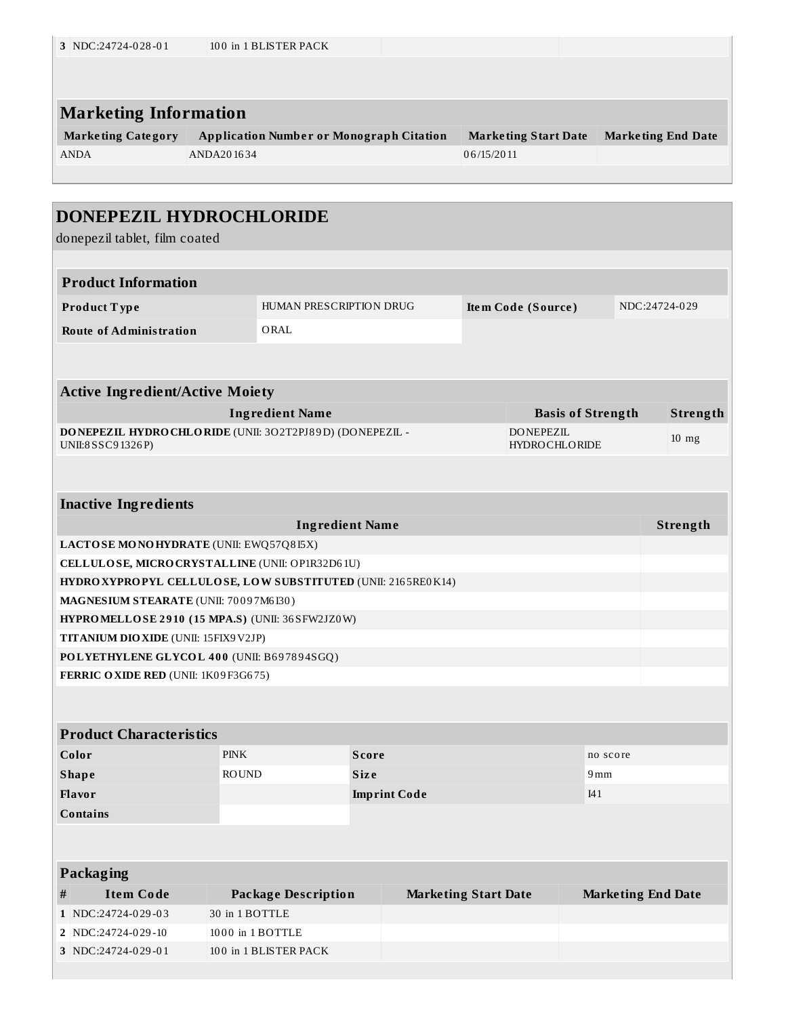| 3 NDC:24724-028-01                                                             | 100 in 1 BLISTER PACK                           |                            |  |                                          |                           |                           |
|--------------------------------------------------------------------------------|-------------------------------------------------|----------------------------|--|------------------------------------------|---------------------------|---------------------------|
|                                                                                |                                                 |                            |  |                                          |                           |                           |
|                                                                                |                                                 |                            |  |                                          |                           |                           |
| <b>Marketing Information</b>                                                   |                                                 |                            |  |                                          |                           |                           |
|                                                                                |                                                 |                            |  |                                          |                           |                           |
| <b>Marketing Category</b>                                                      | <b>Application Number or Monograph Citation</b> |                            |  | <b>Marketing Start Date</b>              |                           | <b>Marketing End Date</b> |
| <b>ANDA</b>                                                                    | ANDA201634                                      |                            |  | 06/15/2011                               |                           |                           |
|                                                                                |                                                 |                            |  |                                          |                           |                           |
|                                                                                |                                                 |                            |  |                                          |                           |                           |
| DONEPEZIL HYDROCHLORIDE                                                        |                                                 |                            |  |                                          |                           |                           |
| donepezil tablet, film coated                                                  |                                                 |                            |  |                                          |                           |                           |
|                                                                                |                                                 |                            |  |                                          |                           |                           |
| <b>Product Information</b>                                                     |                                                 |                            |  |                                          |                           |                           |
| Product Type                                                                   |                                                 | HUMAN PRESCRIPTION DRUG    |  | Item Code (Source)                       |                           | NDC:24724-029             |
| <b>Route of Administration</b>                                                 | ORAL                                            |                            |  |                                          |                           |                           |
|                                                                                |                                                 |                            |  |                                          |                           |                           |
|                                                                                |                                                 |                            |  |                                          |                           |                           |
|                                                                                |                                                 |                            |  |                                          |                           |                           |
| <b>Active Ingredient/Active Moiety</b>                                         |                                                 |                            |  |                                          |                           |                           |
|                                                                                | <b>Ingredient Name</b>                          |                            |  |                                          | <b>Basis of Strength</b>  | Strength                  |
| DONEPEZIL HYDROCHLORIDE (UNII: 3O2T2PJ89D) (DONEPEZIL -<br>UNII:8 SSC9 1326 P) |                                                 |                            |  | <b>DONEPEZIL</b><br><b>HYDROCHLORIDE</b> |                           | $10$ mg                   |
|                                                                                |                                                 |                            |  |                                          |                           |                           |
|                                                                                |                                                 |                            |  |                                          |                           |                           |
| <b>Inactive Ingredients</b>                                                    |                                                 |                            |  |                                          |                           |                           |
|                                                                                |                                                 | <b>Ingredient Name</b>     |  |                                          |                           | Strength                  |
| LACTOSE MONOHYDRATE (UNII: EWQ57Q8I5X)                                         |                                                 |                            |  |                                          |                           |                           |
| CELLULOSE, MICRO CRYSTALLINE (UNII: OP1R32D61U)                                |                                                 |                            |  |                                          |                           |                           |
| HYDRO XYPROPYL CELLULOSE, LOW SUBSTITUTED (UNII: 2165RE0K14)                   |                                                 |                            |  |                                          |                           |                           |
| MAGNESIUM STEARATE (UNII: 70097M6I30)                                          |                                                 |                            |  |                                          |                           |                           |
| HYPROMELLOSE 2910 (15 MPA.S) (UNII: 36 SFW2JZ0W)                               |                                                 |                            |  |                                          |                           |                           |
| <b>TITANIUM DIO XIDE (UNII: 15FIX9 V2JP)</b>                                   |                                                 |                            |  |                                          |                           |                           |
| POLYETHYLENE GLYCOL 400 (UNII: B697894SGQ)                                     |                                                 |                            |  |                                          |                           |                           |
| FERRIC OXIDE RED (UNII: 1K09F3G675)                                            |                                                 |                            |  |                                          |                           |                           |
|                                                                                |                                                 |                            |  |                                          |                           |                           |
|                                                                                |                                                 |                            |  |                                          |                           |                           |
| <b>Product Characteristics</b>                                                 |                                                 |                            |  |                                          |                           |                           |
| Color                                                                          | <b>PINK</b>                                     | <b>Score</b><br>no score   |  |                                          |                           |                           |
| <b>Shape</b>                                                                   | <b>ROUND</b>                                    | Size<br>9mm                |  |                                          |                           |                           |
| Flavor                                                                         |                                                 | I41<br><b>Imprint Code</b> |  |                                          |                           |                           |
| <b>Contains</b>                                                                |                                                 |                            |  |                                          |                           |                           |
|                                                                                |                                                 |                            |  |                                          |                           |                           |
|                                                                                |                                                 |                            |  |                                          |                           |                           |
| <b>Packaging</b>                                                               |                                                 |                            |  |                                          |                           |                           |
|                                                                                |                                                 |                            |  | <b>Marketing Start Date</b>              | <b>Marketing End Date</b> |                           |
| #<br><b>Item Code</b>                                                          |                                                 |                            |  |                                          |                           |                           |
| 1 NDC:24724-029-03                                                             | <b>Package Description</b><br>30 in 1 BOTTLE    |                            |  |                                          |                           |                           |
| 2 NDC:24724-029-10                                                             | 1000 in 1 BOTTLE                                |                            |  |                                          |                           |                           |
| 3 NDC:24724-029-01                                                             | 100 in 1 BLISTER PACK                           |                            |  |                                          |                           |                           |